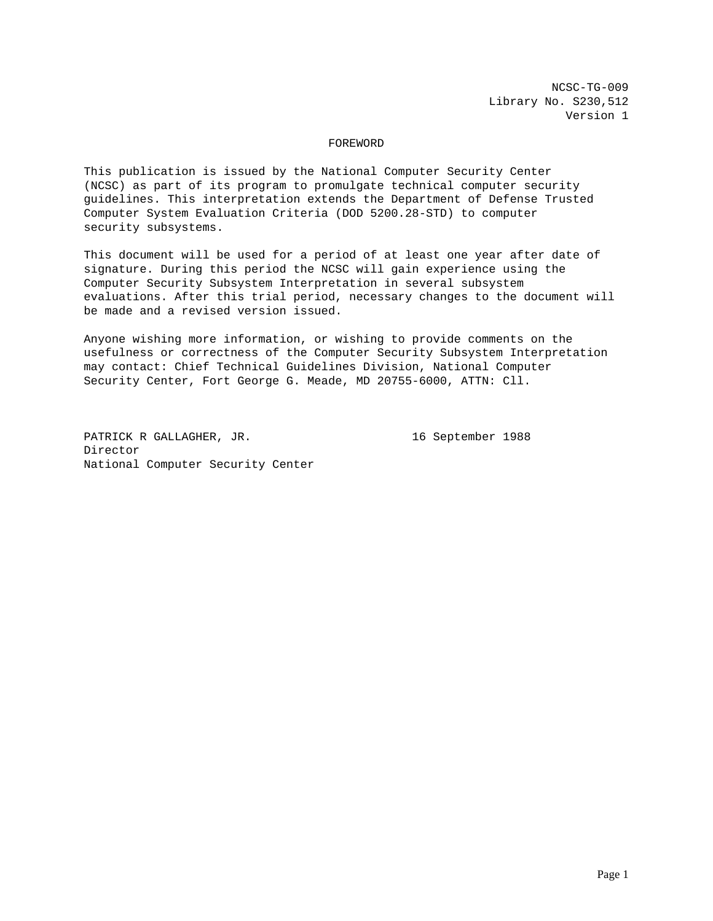NCSC-TG-009 Library No. S230,512 Version 1

## FOREWORD

This publication is issued by the National Computer Security Center (NCSC) as part of its program to promulgate technical computer security guidelines. This interpretation extends the Department of Defense Trusted Computer System Evaluation Criteria (DOD 5200.28-STD) to computer security subsystems.

This document will be used for a period of at least one year after date of signature. During this period the NCSC will gain experience using the Computer Security Subsystem Interpretation in several subsystem evaluations. After this trial period, necessary changes to the document will be made and a revised version issued.

Anyone wishing more information, or wishing to provide comments on the usefulness or correctness of the Computer Security Subsystem Interpretation may contact: Chief Technical Guidelines Division, National Computer Security Center, Fort George G. Meade, MD 20755-6000, ATTN: Cll.

PATRICK R GALLAGHER, JR. 16 September 1988 Director National Computer Security Center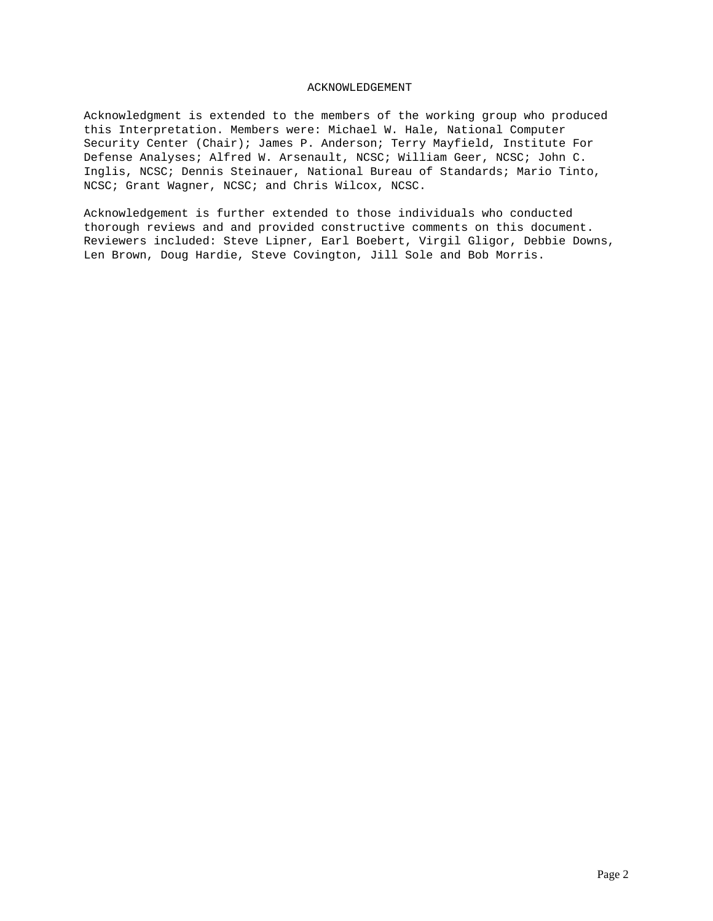## ACKNOWLEDGEMENT

Acknowledgment is extended to the members of the working group who produced this Interpretation. Members were: Michael W. Hale, National Computer Security Center (Chair); James P. Anderson; Terry Mayfield, Institute For Defense Analyses; Alfred W. Arsenault, NCSC; William Geer, NCSC; John C. Inglis, NCSC; Dennis Steinauer, National Bureau of Standards; Mario Tinto, NCSC; Grant Wagner, NCSC; and Chris Wilcox, NCSC.

Acknowledgement is further extended to those individuals who conducted thorough reviews and and provided constructive comments on this document. Reviewers included: Steve Lipner, Earl Boebert, Virgil Gligor, Debbie Downs, Len Brown, Doug Hardie, Steve Covington, Jill Sole and Bob Morris.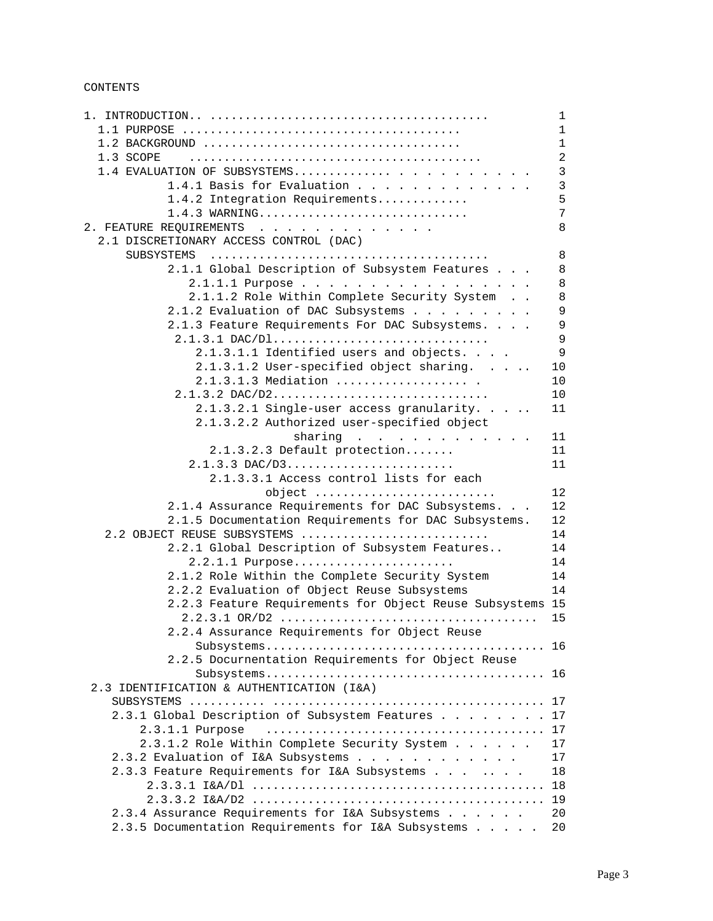CONTENTS

|                                                                                                          | $\mathbf{1}$      |
|----------------------------------------------------------------------------------------------------------|-------------------|
|                                                                                                          | $\mathbf{1}$      |
|                                                                                                          | $\mathbf{1}$      |
| 1.3 SCOPE                                                                                                | $\overline{2}$    |
| 1.4 EVALUATION OF SUBSYSTEMS                                                                             | $\mathbf{3}$      |
| 1.4.1 Basis for Evaluation                                                                               | $\mathbf{3}$      |
| 1.4.2 Integration Requirements                                                                           | 5                 |
| 1.4.3 WARNING                                                                                            | $7\overline{ }$   |
| 2. FEATURE REQUIREMENTS                                                                                  | 8                 |
| 2.1 DISCRETIONARY ACCESS CONTROL (DAC)                                                                   |                   |
|                                                                                                          | $\,8\,$           |
| 2.1.1 Global Description of Subsystem Features                                                           | 8                 |
| 2.1.1.1 Purpose                                                                                          | 8                 |
| 2.1.1.2 Role Within Complete Security System                                                             | 8                 |
| 2.1.2 Evaluation of DAC Subsystems                                                                       | 9                 |
| 2.1.3 Feature Requirements For DAC Subsystems.                                                           | $\mathsf 9$       |
|                                                                                                          | $\overline{9}$    |
| 2.1.3.1.1 Identified users and objects.                                                                  | 9                 |
| 2.1.3.1.2 User-specified object sharing                                                                  | $10$              |
| 2.1.3.1.3 Mediation                                                                                      | 10                |
| 2.1.3.2 DAC/D2                                                                                           | 10                |
| 2.1.3.2.1 Single-user access granularity                                                                 | 11                |
| 2.1.3.2.2 Authorized user-specified object                                                               |                   |
| sharing                                                                                                  | 11                |
| 2.1.3.2.3 Default protection                                                                             | 11                |
| $2.1.3.3$ DAC/D3                                                                                         | 11                |
| 2.1.3.3.1 Access control lists for each                                                                  | $12 \overline{ }$ |
| object                                                                                                   | 12                |
| 2.1.4 Assurance Requirements for DAC Subsystems.<br>2.1.5 Documentation Requirements for DAC Subsystems. | 12                |
| 2.2 OBJECT REUSE SUBSYSTEMS                                                                              | 14                |
| 2.2.1 Global Description of Subsystem Features                                                           | 14                |
| 2.2.1.1 Purpose                                                                                          | 14                |
| 2.1.2 Role Within the Complete Security System                                                           | 14                |
| 2.2.2 Evaluation of Object Reuse Subsystems                                                              | 14                |
| 2.2.3 Feature Requirements for Object Reuse Subsystems 15                                                |                   |
|                                                                                                          | 15                |
| 2.2.4 Assurance Requirements for Object Reuse                                                            |                   |
|                                                                                                          |                   |
| 2.2.5 Docurnentation Requirements for Object Reuse                                                       |                   |
|                                                                                                          | 16                |
| 2.3 IDENTIFICATION & AUTHENTICATION (I&A)                                                                |                   |
|                                                                                                          | 17                |
| 2.3.1 Global Description of Subsystem Features                                                           | 17                |
| $2.3.1.1$ Purpose                                                                                        | 17                |
| 2.3.1.2 Role Within Complete Security System                                                             | 17                |
| 2.3.2 Evaluation of I&A Subsystems                                                                       | 17                |
| 2.3.3 Feature Requirements for I&A Subsystems                                                            | 18                |
|                                                                                                          | 18                |
|                                                                                                          | 19                |
| 2.3.4 Assurance Requirements for I&A Subsystems                                                          | 20                |
| 2.3.5 Documentation Requirements for I&A Subsystems                                                      | 20                |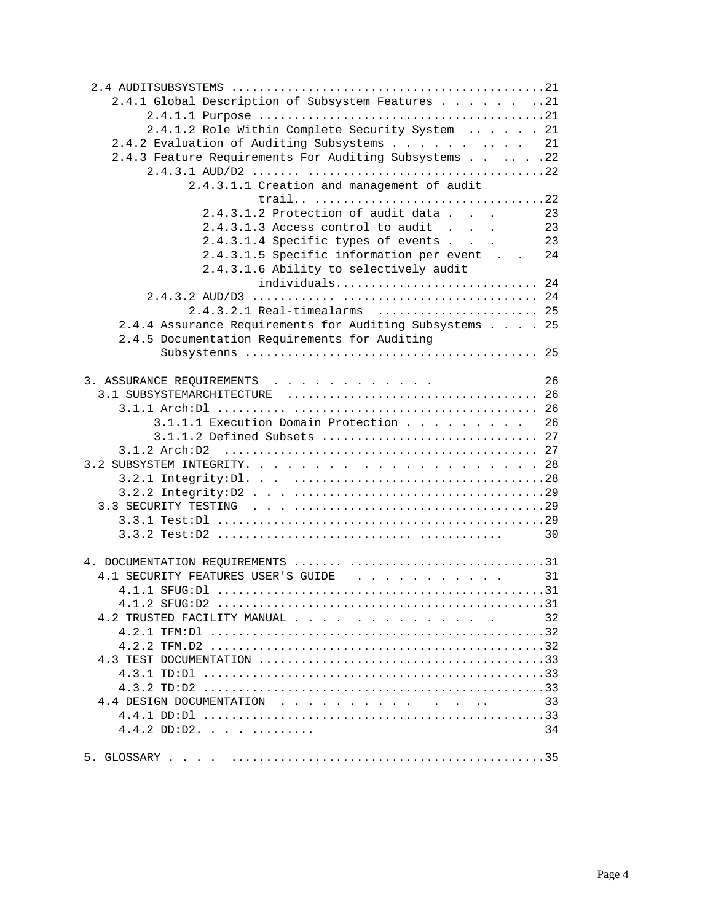| 2.4.1 Global Description of Subsystem Features 21                     |  |    |
|-----------------------------------------------------------------------|--|----|
|                                                                       |  |    |
| 2.4.1.2 Role Within Complete Security System  21                      |  |    |
| 2.4.2 Evaluation of Auditing Subsystems 21                            |  |    |
| 2.4.3 Feature Requirements For Auditing Subsystems 22                 |  |    |
|                                                                       |  |    |
| 2.4.3.1.1 Creation and management of audit                            |  |    |
|                                                                       |  |    |
| 2.4.3.1.2 Protection of audit data                                    |  | 23 |
| 2.4.3.1.3 Access control to audit                                     |  | 23 |
| 2.4.3.1.4 Specific types of events                                    |  | 23 |
| 2.4.3.1.5 Specific information per event                              |  | 24 |
| 2.4.3.1.6 Ability to selectively audit                                |  |    |
| individuals 24                                                        |  |    |
|                                                                       |  |    |
| 2.4.3.2.1 Real-timealarms  25                                         |  |    |
| 2.4.4 Assurance Requirements for Auditing Subsystems 25               |  |    |
| 2.4.5 Documentation Requirements for Auditing                         |  |    |
|                                                                       |  |    |
|                                                                       |  |    |
|                                                                       |  | 26 |
| 3. ASSURANCE REQUIREMENTS                                             |  |    |
|                                                                       |  |    |
|                                                                       |  |    |
| 3.1.1.1 Execution Domain Protection 26<br>3.1.1.2 Defined Subsets  27 |  |    |
|                                                                       |  |    |
|                                                                       |  |    |
|                                                                       |  |    |
|                                                                       |  |    |
|                                                                       |  |    |
|                                                                       |  |    |
|                                                                       |  |    |
|                                                                       |  | 30 |
|                                                                       |  |    |
|                                                                       |  |    |
| 4.1 SECURITY FEATURES USER'S GUIDE 31                                 |  |    |
|                                                                       |  |    |
|                                                                       |  |    |
| 4.2 TRUSTED FACILITY MANUAL                                           |  | 32 |
|                                                                       |  |    |
|                                                                       |  |    |
|                                                                       |  |    |
|                                                                       |  |    |
|                                                                       |  |    |
| 4.4 DESIGN DOCUMENTATION                                              |  | 33 |
|                                                                       |  |    |
|                                                                       |  | 34 |
|                                                                       |  |    |
|                                                                       |  |    |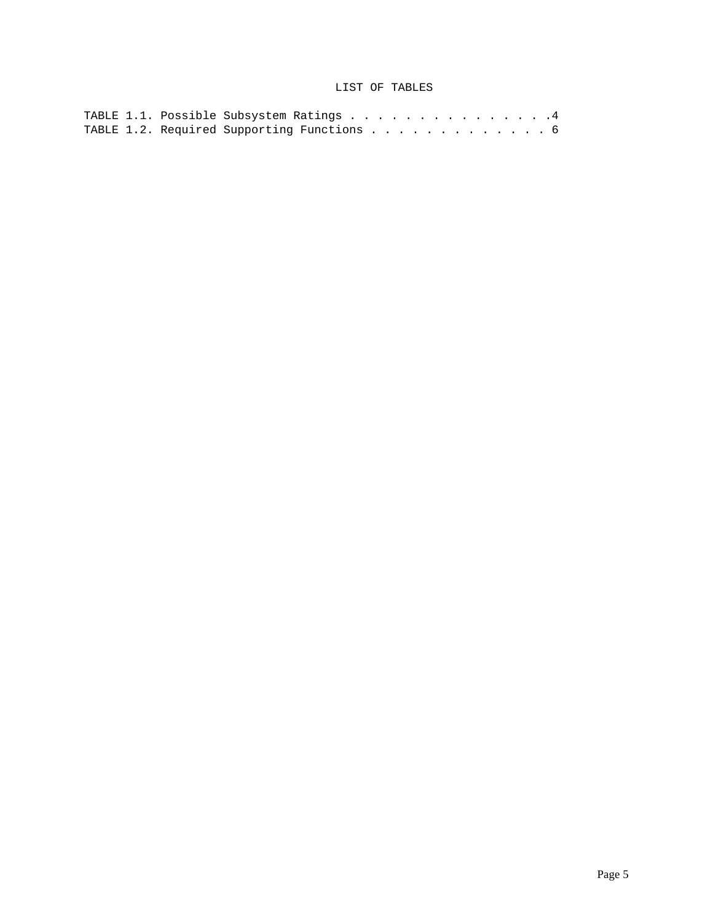# LIST OF TABLES

|  | TABLE 1.1. Possible Subsystem Ratings 4    |  |  |  |  |  |  |  |  |
|--|--------------------------------------------|--|--|--|--|--|--|--|--|
|  | TABLE 1.2. Required Supporting Functions 6 |  |  |  |  |  |  |  |  |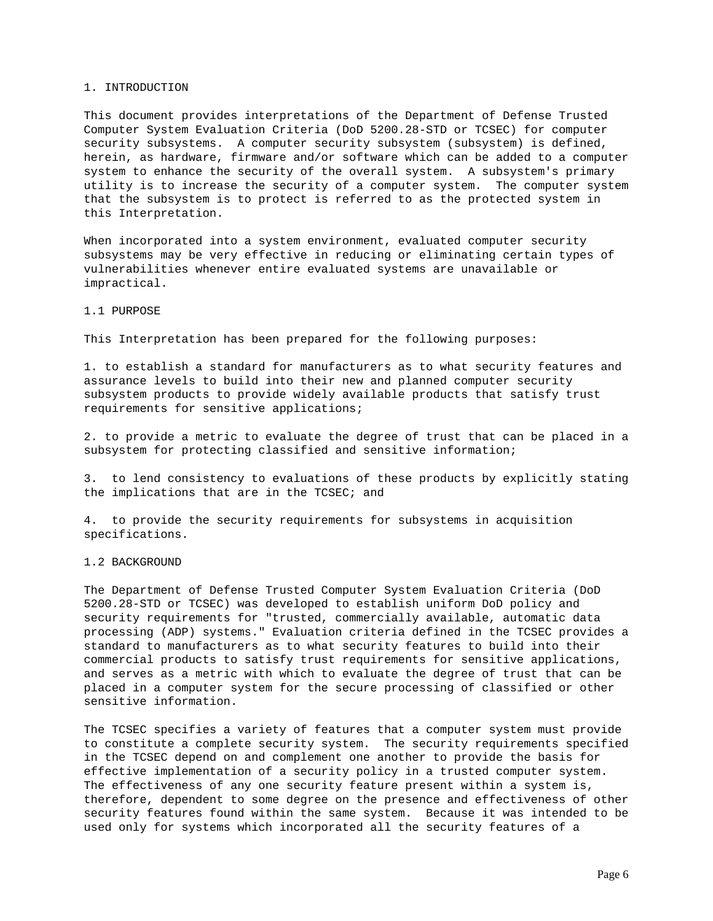#### 1. INTRODUCTION

This document provides interpretations of the Department of Defense Trusted Computer System Evaluation Criteria (DoD 5200.28-STD or TCSEC) for computer security subsystems. A computer security subsystem (subsystem) is defined, herein, as hardware, firmware and/or software which can be added to a computer system to enhance the security of the overall system. A subsystem's primary utility is to increase the security of a computer system. The computer system that the subsystem is to protect is referred to as the protected system in this Interpretation.

When incorporated into a system environment, evaluated computer security subsystems may be very effective in reducing or eliminating certain types of vulnerabilities whenever entire evaluated systems are unavailable or impractical.

## 1.1 PURPOSE

This Interpretation has been prepared for the following purposes:

1. to establish a standard for manufacturers as to what security features and assurance levels to build into their new and planned computer security subsystem products to provide widely available products that satisfy trust requirements for sensitive applications;

2. to provide a metric to evaluate the degree of trust that can be placed in a subsystem for protecting classified and sensitive information;

3. to lend consistency to evaluations of these products by explicitly stating the implications that are in the TCSEC; and

4. to provide the security requirements for subsystems in acquisition specifications.

## 1.2 BACKGROUND

The Department of Defense Trusted Computer System Evaluation Criteria (DoD 5200.28-STD or TCSEC) was developed to establish uniform DoD policy and security requirements for "trusted, commercially available, automatic data processing (ADP) systems." Evaluation criteria defined in the TCSEC provides a standard to manufacturers as to what security features to build into their commercial products to satisfy trust requirements for sensitive applications, and serves as a metric with which to evaluate the degree of trust that can be placed in a computer system for the secure processing of classified or other sensitive information.

The TCSEC specifies a variety of features that a computer system must provide to constitute a complete security system. The security requirements specified in the TCSEC depend on and complement one another to provide the basis for effective implementation of a security policy in a trusted computer system. The effectiveness of any one security feature present within a system is, therefore, dependent to some degree on the presence and effectiveness of other security features found within the same system. Because it was intended to be used only for systems which incorporated all the security features of a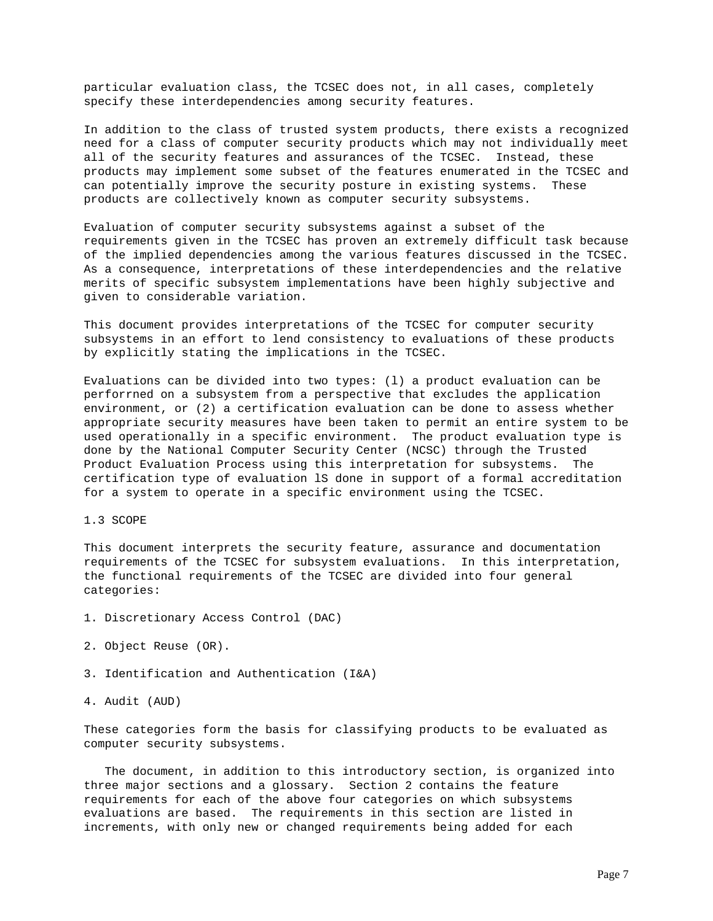particular evaluation class, the TCSEC does not, in all cases, completely specify these interdependencies among security features.

In addition to the class of trusted system products, there exists a recognized need for a class of computer security products which may not individually meet all of the security features and assurances of the TCSEC. Instead, these products may implement some subset of the features enumerated in the TCSEC and can potentially improve the security posture in existing systems. These products are collectively known as computer security subsystems.

Evaluation of computer security subsystems against a subset of the requirements given in the TCSEC has proven an extremely difficult task because of the implied dependencies among the various features discussed in the TCSEC. As a consequence, interpretations of these interdependencies and the relative merits of specific subsystem implementations have been highly subjective and given to considerable variation.

This document provides interpretations of the TCSEC for computer security subsystems in an effort to lend consistency to evaluations of these products by explicitly stating the implications in the TCSEC.

Evaluations can be divided into two types: (l) a product evaluation can be perforrned on a subsystem from a perspective that excludes the application environment, or (2) a certification evaluation can be done to assess whether appropriate security measures have been taken to permit an entire system to be used operationally in a specific environment. The product evaluation type is done by the National Computer Security Center (NCSC) through the Trusted Product Evaluation Process using this interpretation for subsystems. The certification type of evaluation lS done in support of a formal accreditation for a system to operate in a specific environment using the TCSEC.

1.3 SCOPE

This document interprets the security feature, assurance and documentation requirements of the TCSEC for subsystem evaluations. In this interpretation, the functional requirements of the TCSEC are divided into four general categories:

- 1. Discretionary Access Control (DAC)
- 2. Object Reuse (OR).
- 3. Identification and Authentication (I&A)

4. Audit (AUD)

These categories form the basis for classifying products to be evaluated as computer security subsystems.

 The document, in addition to this introductory section, is organized into three major sections and a glossary. Section 2 contains the feature requirements for each of the above four categories on which subsystems evaluations are based. The requirements in this section are listed in increments, with only new or changed requirements being added for each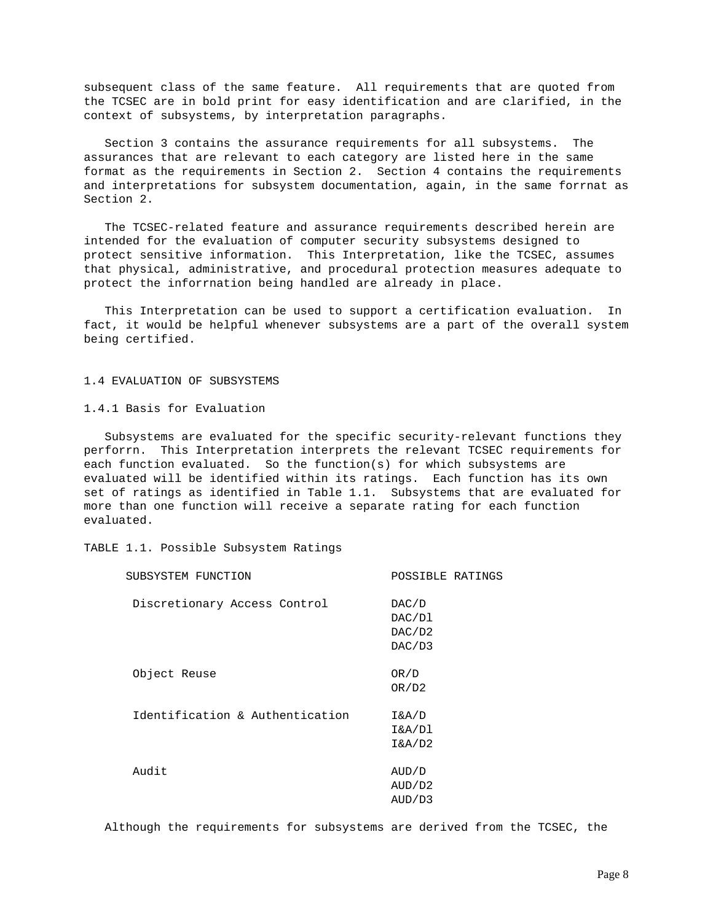subsequent class of the same feature. All requirements that are quoted from the TCSEC are in bold print for easy identification and are clarified, in the context of subsystems, by interpretation paragraphs.

 Section 3 contains the assurance requirements for all subsystems. The assurances that are relevant to each category are listed here in the same format as the requirements in Section 2. Section 4 contains the requirements and interpretations for subsystem documentation, again, in the same forrnat as Section 2.

 The TCSEC-related feature and assurance requirements described herein are intended for the evaluation of computer security subsystems designed to protect sensitive information. This Interpretation, like the TCSEC, assumes that physical, administrative, and procedural protection measures adequate to protect the inforrnation being handled are already in place.

 This Interpretation can be used to support a certification evaluation. In fact, it would be helpful whenever subsystems are a part of the overall system being certified.

#### 1.4 EVALUATION OF SUBSYSTEMS

1.4.1 Basis for Evaluation

 Subsystems are evaluated for the specific security-relevant functions they perforrn. This Interpretation interprets the relevant TCSEC requirements for each function evaluated. So the function(s) for which subsystems are evaluated will be identified within its ratings. Each function has its own set of ratings as identified in Table 1.1. Subsystems that are evaluated for more than one function will receive a separate rating for each function evaluated.

TABLE 1.1. Possible Subsystem Ratings

| SUBSYSTEM FUNCTION              | POSSIBLE RATINGS                    |
|---------------------------------|-------------------------------------|
| Discretionary Access Control    | DAC/D<br>DAC/D1<br>DAC/D2<br>DAC/D3 |
| Object Reuse                    | OR/D<br>OR/D2                       |
| Identification & Authentication | I&A/D<br>I&A/Dl<br>I&A/D2           |
| Audit                           | AUD/D<br>AUD/D2<br>AUD/D3           |

Although the requirements for subsystems are derived from the TCSEC, the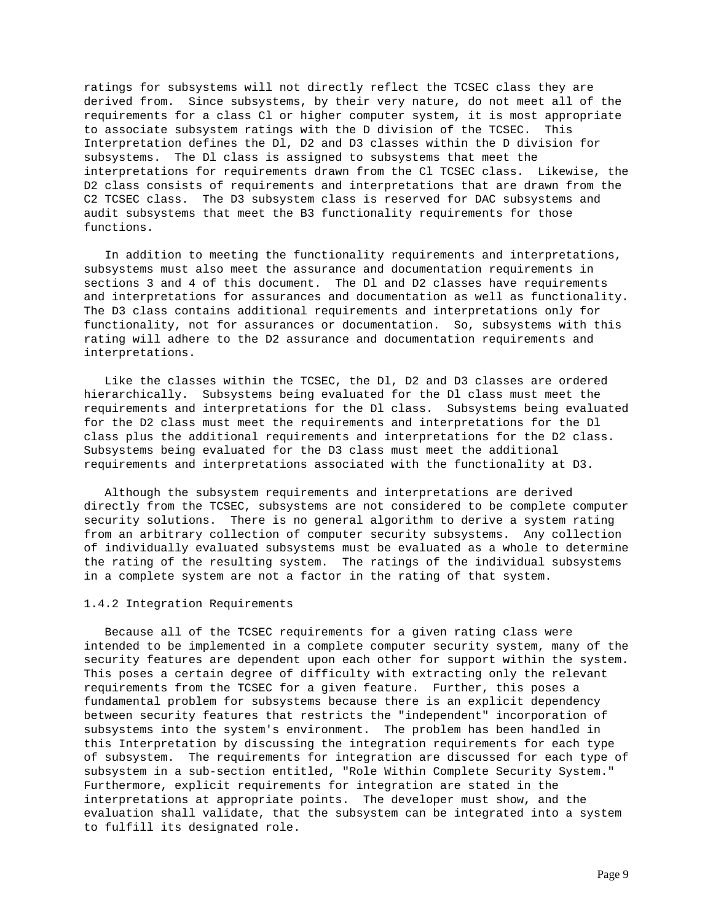ratings for subsystems will not directly reflect the TCSEC class they are derived from. Since subsystems, by their very nature, do not meet all of the requirements for a class Cl or higher computer system, it is most appropriate to associate subsystem ratings with the D division of the TCSEC. This Interpretation defines the Dl, D2 and D3 classes within the D division for subsystems. The Dl class is assigned to subsystems that meet the interpretations for requirements drawn from the Cl TCSEC class. Likewise, the D2 class consists of requirements and interpretations that are drawn from the C2 TCSEC class. The D3 subsystem class is reserved for DAC subsystems and audit subsystems that meet the B3 functionality requirements for those functions.

 In addition to meeting the functionality requirements and interpretations, subsystems must also meet the assurance and documentation requirements in sections 3 and 4 of this document. The Dl and D2 classes have requirements and interpretations for assurances and documentation as well as functionality. The D3 class contains additional requirements and interpretations only for functionality, not for assurances or documentation. So, subsystems with this rating will adhere to the D2 assurance and documentation requirements and interpretations.

 Like the classes within the TCSEC, the Dl, D2 and D3 classes are ordered hierarchically. Subsystems being evaluated for the Dl class must meet the requirements and interpretations for the Dl class. Subsystems being evaluated for the D2 class must meet the requirements and interpretations for the Dl class plus the additional requirements and interpretations for the D2 class. Subsystems being evaluated for the D3 class must meet the additional requirements and interpretations associated with the functionality at D3.

 Although the subsystem requirements and interpretations are derived directly from the TCSEC, subsystems are not considered to be complete computer security solutions. There is no general algorithm to derive a system rating from an arbitrary collection of computer security subsystems. Any collection of individually evaluated subsystems must be evaluated as a whole to determine the rating of the resulting system. The ratings of the individual subsystems in a complete system are not a factor in the rating of that system.

#### 1.4.2 Integration Requirements

 Because all of the TCSEC requirements for a given rating class were intended to be implemented in a complete computer security system, many of the security features are dependent upon each other for support within the system. This poses a certain degree of difficulty with extracting only the relevant requirements from the TCSEC for a given feature. Further, this poses a fundamental problem for subsystems because there is an explicit dependency between security features that restricts the "independent" incorporation of subsystems into the system's environment. The problem has been handled in this Interpretation by discussing the integration requirements for each type of subsystem. The requirements for integration are discussed for each type of subsystem in a sub-section entitled, "Role Within Complete Security System." Furthermore, explicit requirements for integration are stated in the interpretations at appropriate points. The developer must show, and the evaluation shall validate, that the subsystem can be integrated into a system to fulfill its designated role.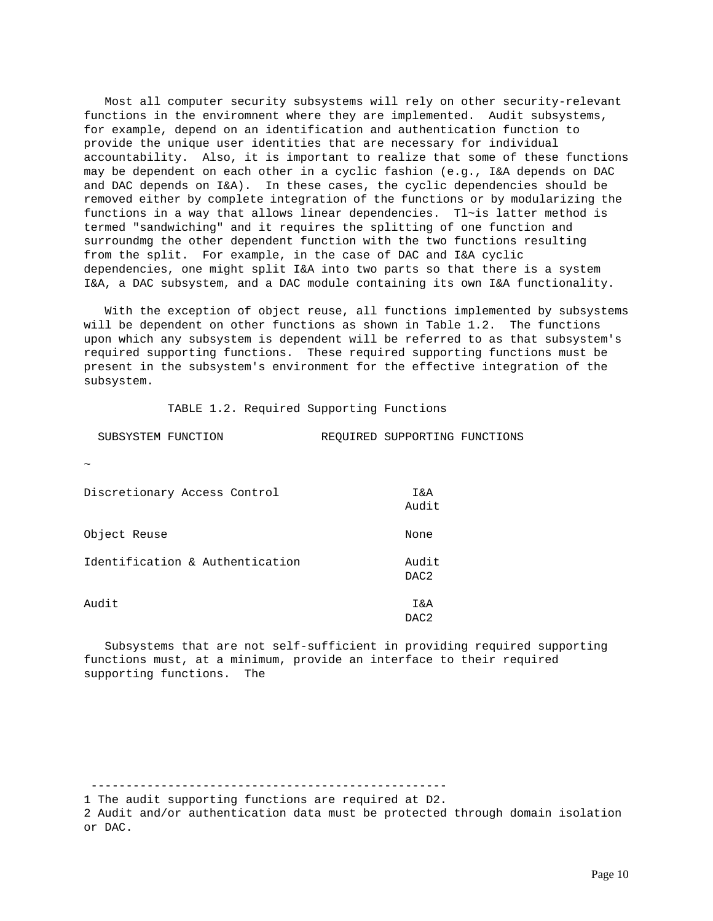Most all computer security subsystems will rely on other security-relevant functions in the enviromnent where they are implemented. Audit subsystems, for example, depend on an identification and authentication function to provide the unique user identities that are necessary for individual accountability. Also, it is important to realize that some of these functions may be dependent on each other in a cyclic fashion (e.g., I&A depends on DAC and DAC depends on I&A). In these cases, the cyclic dependencies should be removed either by complete integration of the functions or by modularizing the functions in a way that allows linear dependencies. Tl~is latter method is termed "sandwiching" and it requires the splitting of one function and surroundmg the other dependent function with the two functions resulting from the split. For example, in the case of DAC and I&A cyclic dependencies, one might split I&A into two parts so that there is a system I&A, a DAC subsystem, and a DAC module containing its own I&A functionality.

 With the exception of object reuse, all functions implemented by subsystems will be dependent on other functions as shown in Table 1.2. The functions upon which any subsystem is dependent will be referred to as that subsystem's required supporting functions. These required supporting functions must be present in the subsystem's environment for the effective integration of the subsystem.

TABLE 1.2. Required Supporting Functions

| SUBSYSTEM FUNCTION              | REQUIRED SUPPORTING FUNCTIONS |  |
|---------------------------------|-------------------------------|--|
| $\tilde{\phantom{a}}$           |                               |  |
| Discretionary Access Control    | Ι&Α<br>Audit                  |  |
| Object Reuse                    | None                          |  |
| Identification & Authentication | Audit<br>DAC <sub>2</sub>     |  |
| Audit                           | Ι&Α                           |  |

 Subsystems that are not self-sufficient in providing required supporting functions must, at a minimum, provide an interface to their required supporting functions. The

1 The audit supporting functions are required at D2.

---------------------------------------------------

DAC2

2 Audit and/or authentication data must be protected through domain isolation or DAC.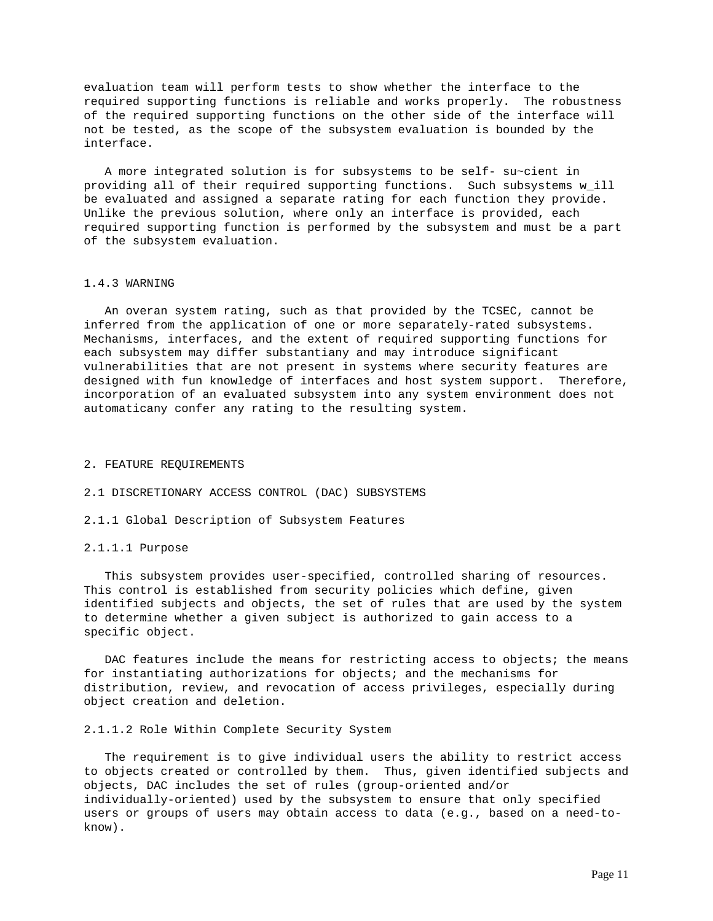evaluation team will perform tests to show whether the interface to the required supporting functions is reliable and works properly. The robustness of the required supporting functions on the other side of the interface will not be tested, as the scope of the subsystem evaluation is bounded by the interface.

 A more integrated solution is for subsystems to be self- su~cient in providing all of their required supporting functions. Such subsystems w\_ill be evaluated and assigned a separate rating for each function they provide. Unlike the previous solution, where only an interface is provided, each required supporting function is performed by the subsystem and must be a part of the subsystem evaluation.

## 1.4.3 WARNING

 An overan system rating, such as that provided by the TCSEC, cannot be inferred from the application of one or more separately-rated subsystems. Mechanisms, interfaces, and the extent of required supporting functions for each subsystem may differ substantiany and may introduce significant vulnerabilities that are not present in systems where security features are designed with fun knowledge of interfaces and host system support. Therefore, incorporation of an evaluated subsystem into any system environment does not automaticany confer any rating to the resulting system.

#### 2. FEATURE REQUIREMENTS

### 2.1 DISCRETIONARY ACCESS CONTROL (DAC) SUBSYSTEMS

2.1.1 Global Description of Subsystem Features

#### 2.1.1.1 Purpose

 This subsystem provides user-specified, controlled sharing of resources. This control is established from security policies which define, given identified subjects and objects, the set of rules that are used by the system to determine whether a given subject is authorized to gain access to a specific object.

DAC features include the means for restricting access to objects; the means for instantiating authorizations for objects; and the mechanisms for distribution, review, and revocation of access privileges, especially during object creation and deletion.

### 2.1.1.2 Role Within Complete Security System

 The requirement is to give individual users the ability to restrict access to objects created or controlled by them. Thus, given identified subjects and objects, DAC includes the set of rules (group-oriented and/or individually-oriented) used by the subsystem to ensure that only specified users or groups of users may obtain access to data (e.g., based on a need-toknow).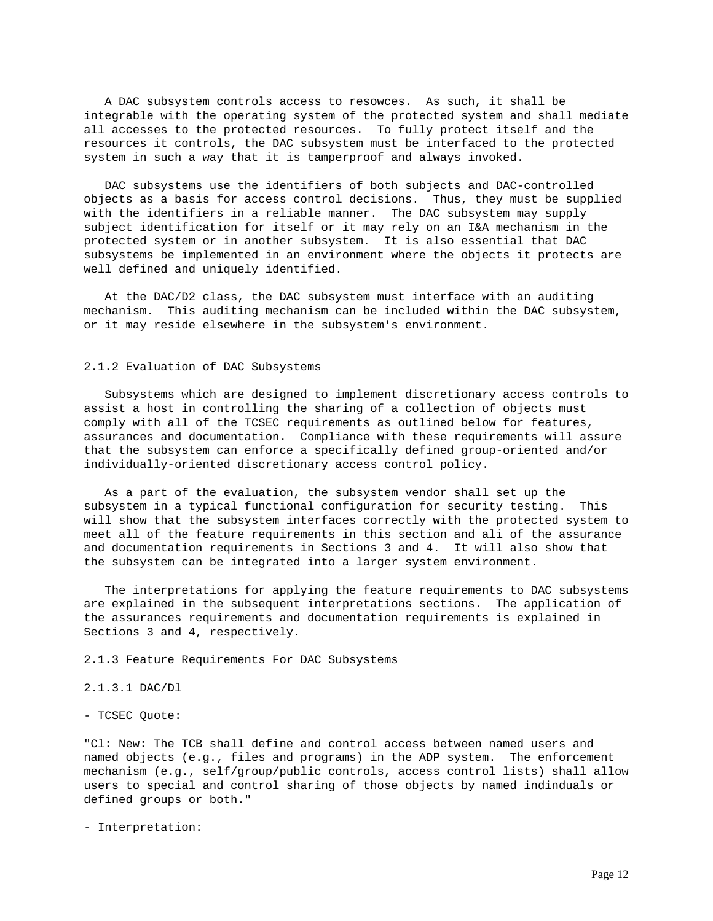A DAC subsystem controls access to resowces. As such, it shall be integrable with the operating system of the protected system and shall mediate all accesses to the protected resources. To fully protect itself and the resources it controls, the DAC subsystem must be interfaced to the protected system in such a way that it is tamperproof and always invoked.

 DAC subsystems use the identifiers of both subjects and DAC-controlled objects as a basis for access control decisions. Thus, they must be supplied with the identifiers in a reliable manner. The DAC subsystem may supply subject identification for itself or it may rely on an I&A mechanism in the protected system or in another subsystem. It is also essential that DAC subsystems be implemented in an environment where the objects it protects are well defined and uniquely identified.

 At the DAC/D2 class, the DAC subsystem must interface with an auditing mechanism. This auditing mechanism can be included within the DAC subsystem, or it may reside elsewhere in the subsystem's environment.

## 2.1.2 Evaluation of DAC Subsystems

 Subsystems which are designed to implement discretionary access controls to assist a host in controlling the sharing of a collection of objects must comply with all of the TCSEC requirements as outlined below for features, assurances and documentation. Compliance with these requirements will assure that the subsystem can enforce a specifically defined group-oriented and/or individually-oriented discretionary access control policy.

 As a part of the evaluation, the subsystem vendor shall set up the subsystem in a typical functional configuration for security testing. This will show that the subsystem interfaces correctly with the protected system to meet all of the feature requirements in this section and ali of the assurance and documentation requirements in Sections 3 and 4. It will also show that the subsystem can be integrated into a larger system environment.

 The interpretations for applying the feature requirements to DAC subsystems are explained in the subsequent interpretations sections. The application of the assurances requirements and documentation requirements is explained in Sections 3 and 4, respectively.

2.1.3 Feature Requirements For DAC Subsystems

2.1.3.1 DAC/Dl

- TCSEC Quote:

"Cl: New: The TCB shall define and control access between named users and named objects (e.g., files and programs) in the ADP system. The enforcement mechanism (e.g., self/group/public controls, access control lists) shall allow users to special and control sharing of those objects by named indinduals or defined groups or both."

- Interpretation: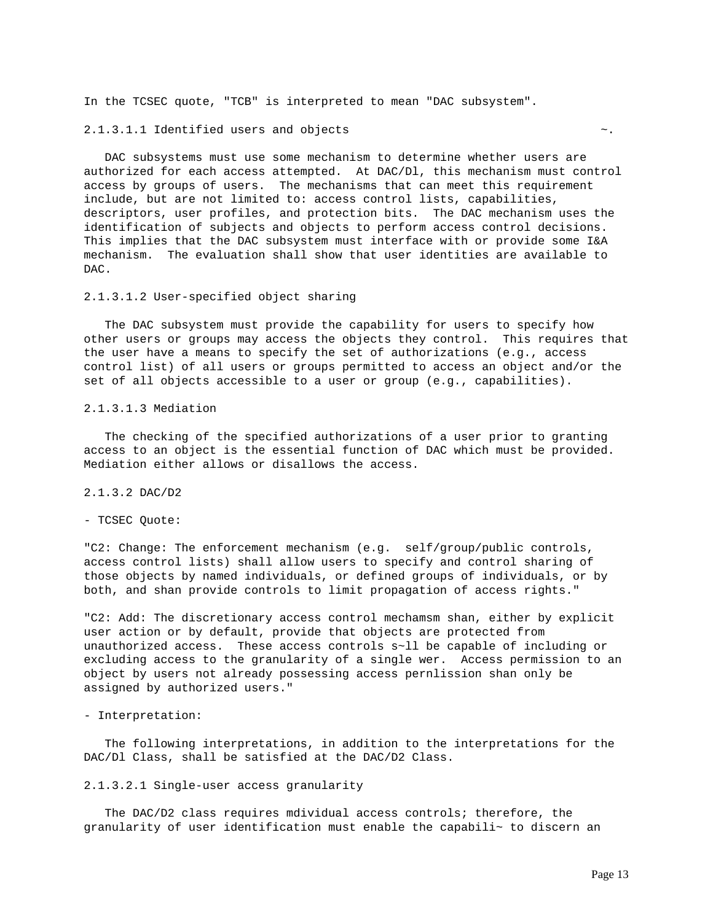In the TCSEC quote, "TCB" is interpreted to mean "DAC subsystem".

2.1.3.1.1 Identified users and objects  $\sim$ .

 DAC subsystems must use some mechanism to determine whether users are authorized for each access attempted. At DAC/Dl, this mechanism must control access by groups of users. The mechanisms that can meet this requirement include, but are not limited to: access control lists, capabilities, descriptors, user profiles, and protection bits. The DAC mechanism uses the identification of subjects and objects to perform access control decisions. This implies that the DAC subsystem must interface with or provide some I&A mechanism. The evaluation shall show that user identities are available to DAC.

#### 2.1.3.1.2 User-specified object sharing

 The DAC subsystem must provide the capability for users to specify how other users or groups may access the objects they control. This requires that the user have a means to specify the set of authorizations (e.g., access control list) of all users or groups permitted to access an object and/or the set of all objects accessible to a user or group (e.g., capabilities).

## 2.1.3.1.3 Mediation

 The checking of the specified authorizations of a user prior to granting access to an object is the essential function of DAC which must be provided. Mediation either allows or disallows the access.

## 2.1.3.2 DAC/D2

- TCSEC Quote:

"C2: Change: The enforcement mechanism (e.g. self/group/public controls, access control lists) shall allow users to specify and control sharing of those objects by named individuals, or defined groups of individuals, or by both, and shan provide controls to limit propagation of access rights."

"C2: Add: The discretionary access control mechamsm shan, either by explicit user action or by default, provide that objects are protected from unauthorized access. These access controls s~ll be capable of including or excluding access to the granularity of a single wer. Access permission to an object by users not already possessing access pernlission shan only be assigned by authorized users."

## - Interpretation:

 The following interpretations, in addition to the interpretations for the DAC/Dl Class, shall be satisfied at the DAC/D2 Class.

## 2.1.3.2.1 Single-user access granularity

 The DAC/D2 class requires mdividual access controls; therefore, the granularity of user identification must enable the capabili~ to discern an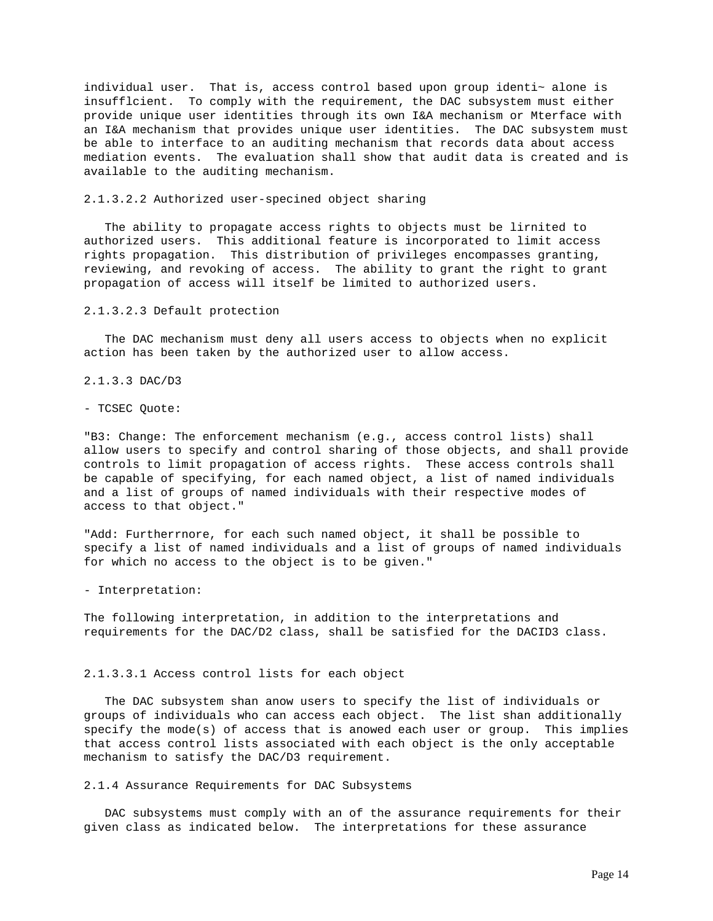individual user. That is, access control based upon group identi~ alone is insufflcient. To comply with the requirement, the DAC subsystem must either provide unique user identities through its own I&A mechanism or Mterface with an I&A mechanism that provides unique user identities. The DAC subsystem must be able to interface to an auditing mechanism that records data about access mediation events. The evaluation shall show that audit data is created and is available to the auditing mechanism.

## 2.1.3.2.2 Authorized user-specined object sharing

 The ability to propagate access rights to objects must be lirnited to authorized users. This additional feature is incorporated to limit access rights propagation. This distribution of privileges encompasses granting, reviewing, and revoking of access. The ability to grant the right to grant propagation of access will itself be limited to authorized users.

### 2.1.3.2.3 Default protection

 The DAC mechanism must deny all users access to objects when no explicit action has been taken by the authorized user to allow access.

2.1.3.3 DAC/D3

- TCSEC Quote:

"B3: Change: The enforcement mechanism (e.g., access control lists) shall allow users to specify and control sharing of those objects, and shall provide controls to limit propagation of access rights. These access controls shall be capable of specifying, for each named object, a list of named individuals and a list of groups of named individuals with their respective modes of access to that object."

"Add: Furtherrnore, for each such named object, it shall be possible to specify a list of named individuals and a list of groups of named individuals for which no access to the object is to be given."

- Interpretation:

The following interpretation, in addition to the interpretations and requirements for the DAC/D2 class, shall be satisfied for the DACID3 class.

#### 2.1.3.3.1 Access control lists for each object

 The DAC subsystem shan anow users to specify the list of individuals or groups of individuals who can access each object. The list shan additionally specify the mode(s) of access that is anowed each user or group. This implies that access control lists associated with each object is the only acceptable mechanism to satisfy the DAC/D3 requirement.

2.1.4 Assurance Requirements for DAC Subsystems

 DAC subsystems must comply with an of the assurance requirements for their given class as indicated below. The interpretations for these assurance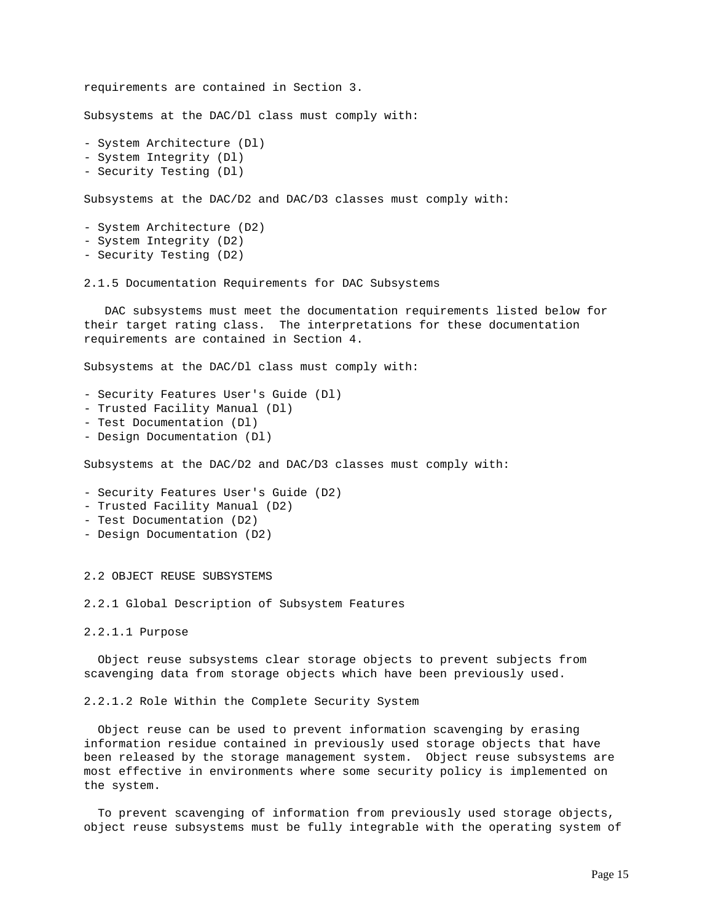```
requirements are contained in Section 3.
Subsystems at the DAC/Dl class must comply with:
- System Architecture (Dl)
- System Integrity (Dl)
- Security Testing (Dl)
Subsystems at the DAC/D2 and DAC/D3 classes must comply with:
- System Architecture (D2)
- System Integrity (D2)
- Security Testing (D2)
2.1.5 Documentation Requirements for DAC Subsystems
    DAC subsystems must meet the documentation requirements listed below for
their target rating class. The interpretations for these documentation
requirements are contained in Section 4.
Subsystems at the DAC/Dl class must comply with:
- Security Features User's Guide (Dl)
- Trusted Facility Manual (Dl)
- Test Documentation (Dl)
- Design Documentation (Dl)
Subsystems at the DAC/D2 and DAC/D3 classes must comply with:
- Security Features User's Guide (D2)
- Trusted Facility Manual (D2)
- Test Documentation (D2)
- Design Documentation (D2)
2.2 OBJECT REUSE SUBSYSTEMS
2.2.1 Global Description of Subsystem Features
2.2.1.1 Purpose
   Object reuse subsystems clear storage objects to prevent subjects from
scavenging data from storage objects which have been previously used.
2.2.1.2 Role Within the Complete Security System
```
 Object reuse can be used to prevent information scavenging by erasing information residue contained in previously used storage objects that have been released by the storage management system. Object reuse subsystems are most effective in environments where some security policy is implemented on the system.

 To prevent scavenging of information from previously used storage objects, object reuse subsystems must be fully integrable with the operating system of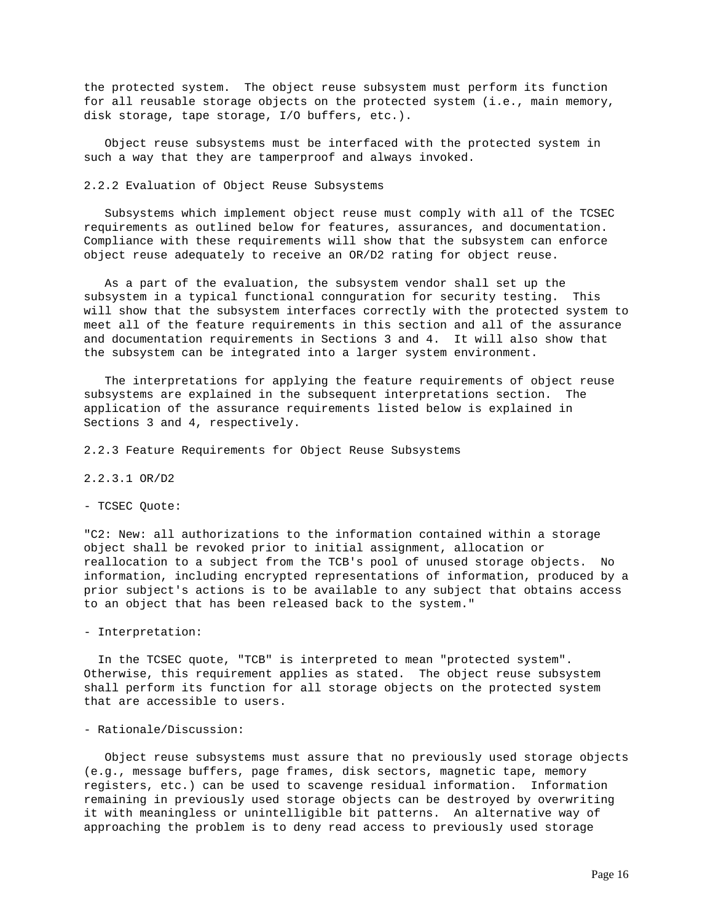the protected system. The object reuse subsystem must perform its function for all reusable storage objects on the protected system (i.e., main memory, disk storage, tape storage, I/O buffers, etc.).

 Object reuse subsystems must be interfaced with the protected system in such a way that they are tamperproof and always invoked.

## 2.2.2 Evaluation of Object Reuse Subsystems

 Subsystems which implement object reuse must comply with all of the TCSEC requirements as outlined below for features, assurances, and documentation. Compliance with these requirements will show that the subsystem can enforce object reuse adequately to receive an OR/D2 rating for object reuse.

 As a part of the evaluation, the subsystem vendor shall set up the subsystem in a typical functional connguration for security testing. This will show that the subsystem interfaces correctly with the protected system to meet all of the feature requirements in this section and all of the assurance and documentation requirements in Sections 3 and 4. It will also show that the subsystem can be integrated into a larger system environment.

 The interpretations for applying the feature requirements of object reuse subsystems are explained in the subsequent interpretations section. The application of the assurance requirements listed below is explained in Sections 3 and 4, respectively.

2.2.3 Feature Requirements for Object Reuse Subsystems

## 2.2.3.1 OR/D2

## - TCSEC Quote:

"C2: New: all authorizations to the information contained within a storage object shall be revoked prior to initial assignment, allocation or reallocation to a subject from the TCB's pool of unused storage objects. No information, including encrypted representations of information, produced by a prior subject's actions is to be available to any subject that obtains access to an object that has been released back to the system."

- Interpretation:

 In the TCSEC quote, "TCB" is interpreted to mean "protected system". Otherwise, this requirement applies as stated. The object reuse subsystem shall perform its function for all storage objects on the protected system that are accessible to users.

## - Rationale/Discussion:

 Object reuse subsystems must assure that no previously used storage objects (e.g., message buffers, page frames, disk sectors, magnetic tape, memory registers, etc.) can be used to scavenge residual information. Information remaining in previously used storage objects can be destroyed by overwriting it with meaningless or unintelligible bit patterns. An alternative way of approaching the problem is to deny read access to previously used storage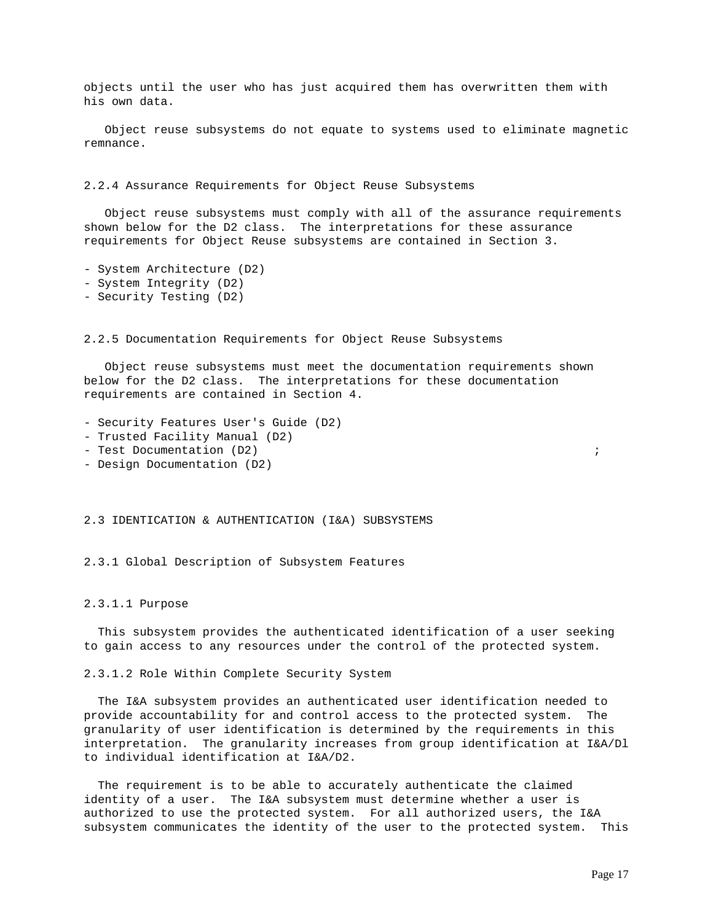objects until the user who has just acquired them has overwritten them with his own data.

 Object reuse subsystems do not equate to systems used to eliminate magnetic remnance.

2.2.4 Assurance Requirements for Object Reuse Subsystems

 Object reuse subsystems must comply with all of the assurance requirements shown below for the D2 class. The interpretations for these assurance requirements for Object Reuse subsystems are contained in Section 3.

```
- System Architecture (D2)
```
- System Integrity (D2)
- Security Testing (D2)

2.2.5 Documentation Requirements for Object Reuse Subsystems

 Object reuse subsystems must meet the documentation requirements shown below for the D2 class. The interpretations for these documentation requirements are contained in Section 4.

- Security Features User's Guide (D2)
- Trusted Facility Manual (D2)
- Test Documentation (D2)  $\qquad \qquad ;$
- Design Documentation (D2)

2.3 IDENTICATION & AUTHENTICATION (I&A) SUBSYSTEMS

2.3.1 Global Description of Subsystem Features

## 2.3.1.1 Purpose

 This subsystem provides the authenticated identification of a user seeking to gain access to any resources under the control of the protected system.

2.3.1.2 Role Within Complete Security System

 The I&A subsystem provides an authenticated user identification needed to provide accountability for and control access to the protected system. The granularity of user identification is determined by the requirements in this interpretation. The granularity increases from group identification at I&A/Dl to individual identification at I&A/D2.

 The requirement is to be able to accurately authenticate the claimed identity of a user. The I&A subsystem must determine whether a user is authorized to use the protected system. For all authorized users, the I&A subsystem communicates the identity of the user to the protected system. This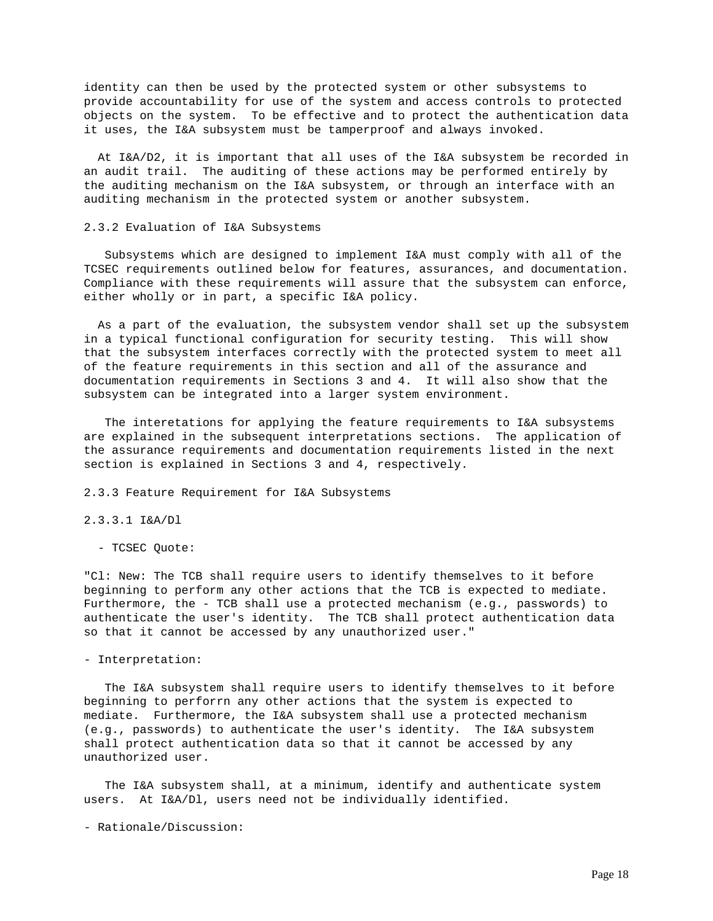identity can then be used by the protected system or other subsystems to provide accountability for use of the system and access controls to protected objects on the system. To be effective and to protect the authentication data it uses, the I&A subsystem must be tamperproof and always invoked.

 At I&A/D2, it is important that all uses of the I&A subsystem be recorded in an audit trail. The auditing of these actions may be performed entirely by the auditing mechanism on the I&A subsystem, or through an interface with an auditing mechanism in the protected system or another subsystem.

### 2.3.2 Evaluation of I&A Subsystems

 Subsystems which are designed to implement I&A must comply with all of the TCSEC requirements outlined below for features, assurances, and documentation. Compliance with these requirements will assure that the subsystem can enforce, either wholly or in part, a specific I&A policy.

 As a part of the evaluation, the subsystem vendor shall set up the subsystem in a typical functional configuration for security testing. This will show that the subsystem interfaces correctly with the protected system to meet all of the feature requirements in this section and all of the assurance and documentation requirements in Sections 3 and 4. It will also show that the subsystem can be integrated into a larger system environment.

 The interetations for applying the feature requirements to I&A subsystems are explained in the subsequent interpretations sections. The application of the assurance requirements and documentation requirements listed in the next section is explained in Sections 3 and 4, respectively.

2.3.3 Feature Requirement for I&A Subsystems

2.3.3.1 I&A/Dl

- TCSEC Quote:

"Cl: New: The TCB shall require users to identify themselves to it before beginning to perform any other actions that the TCB is expected to mediate. Furthermore, the - TCB shall use a protected mechanism (e.g., passwords) to authenticate the user's identity. The TCB shall protect authentication data so that it cannot be accessed by any unauthorized user."

- Interpretation:

 The I&A subsystem shall require users to identify themselves to it before beginning to perforrn any other actions that the system is expected to mediate. Furthermore, the I&A subsystem shall use a protected mechanism (e.g., passwords) to authenticate the user's identity. The I&A subsystem shall protect authentication data so that it cannot be accessed by any unauthorized user.

 The I&A subsystem shall, at a minimum, identify and authenticate system users. At I&A/Dl, users need not be individually identified.

- Rationale/Discussion: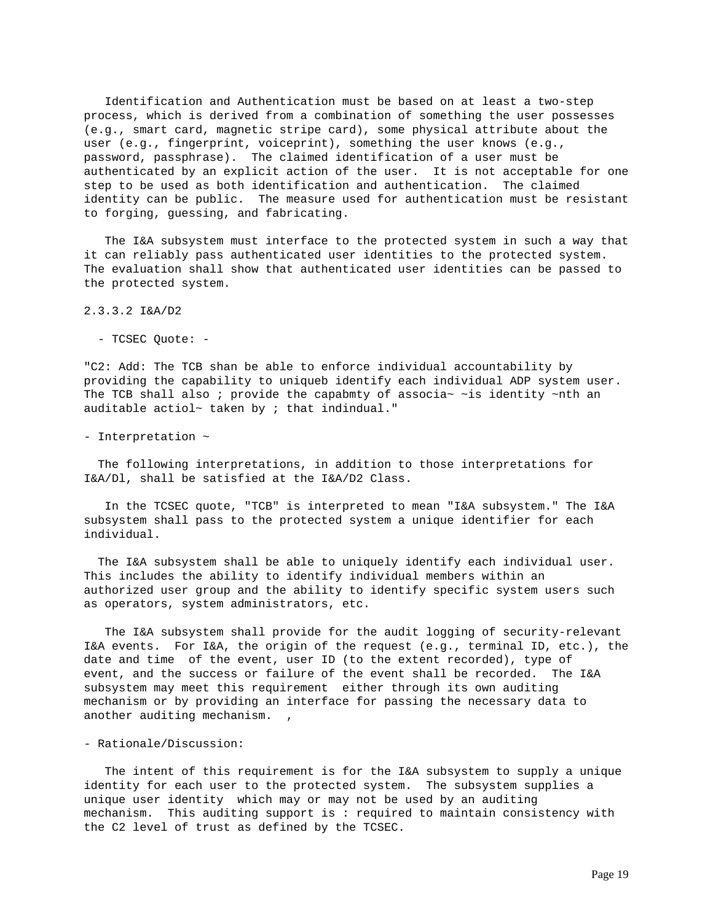Identification and Authentication must be based on at least a two-step process, which is derived from a combination of something the user possesses (e.g., smart card, magnetic stripe card), some physical attribute about the user (e.g., fingerprint, voiceprint), something the user knows (e.g., password, passphrase). The claimed identification of a user must be authenticated by an explicit action of the user. It is not acceptable for one step to be used as both identification and authentication. The claimed identity can be public. The measure used for authentication must be resistant to forging, guessing, and fabricating.

 The I&A subsystem must interface to the protected system in such a way that it can reliably pass authenticated user identities to the protected system. The evaluation shall show that authenticated user identities can be passed to the protected system.

2.3.3.2 I&A/D2

- TCSEC Quote: -

"C2: Add: The TCB shan be able to enforce individual accountability by providing the capability to uniqueb identify each individual ADP system user. The TCB shall also ; provide the capabmty of associa $\sim$  ~is identity ~nth an auditable actiol~ taken by  $i$  that indindual."

- Interpretation ~

 The following interpretations, in addition to those interpretations for I&A/Dl, shall be satisfied at the I&A/D2 Class.

 In the TCSEC quote, "TCB" is interpreted to mean "I&A subsystem." The I&A subsystem shall pass to the protected system a unique identifier for each individual.

 The I&A subsystem shall be able to uniquely identify each individual user. This includes the ability to identify individual members within an authorized user group and the ability to identify specific system users such as operators, system administrators, etc.

 The I&A subsystem shall provide for the audit logging of security-relevant I&A events. For I&A, the origin of the request (e.g., terminal ID, etc.), the date and time of the event, user ID (to the extent recorded), type of event, and the success or failure of the event shall be recorded. The I&A subsystem may meet this requirement either through its own auditing mechanism or by providing an interface for passing the necessary data to another auditing mechanism.

- Rationale/Discussion:

 The intent of this requirement is for the I&A subsystem to supply a unique identity for each user to the protected system. The subsystem supplies a unique user identity which may or may not be used by an auditing mechanism. This auditing support is : required to maintain consistency with the C2 level of trust as defined by the TCSEC.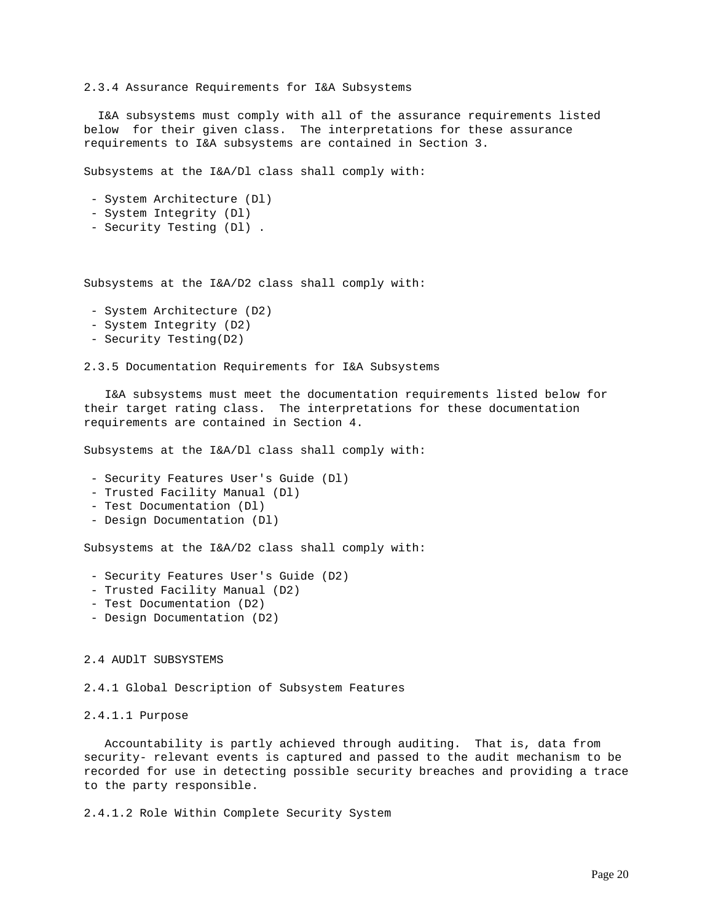2.3.4 Assurance Requirements for I&A Subsystems

 I&A subsystems must comply with all of the assurance requirements listed below for their given class. The interpretations for these assurance requirements to I&A subsystems are contained in Section 3.

Subsystems at the I&A/Dl class shall comply with:

- System Architecture (Dl)
- System Integrity (Dl)
- Security Testing (Dl) .

Subsystems at the I&A/D2 class shall comply with:

- System Architecture (D2)
- System Integrity (D2)
- Security Testing(D2)

2.3.5 Documentation Requirements for I&A Subsystems

 I&A subsystems must meet the documentation requirements listed below for their target rating class. The interpretations for these documentation requirements are contained in Section 4.

Subsystems at the I&A/Dl class shall comply with:

- Security Features User's Guide (Dl)
- Trusted Facility Manual (Dl)
- Test Documentation (Dl)
- Design Documentation (Dl)

Subsystems at the I&A/D2 class shall comply with:

- Security Features User's Guide (D2)
- Trusted Facility Manual (D2)
- Test Documentation (D2)
- Design Documentation (D2)

## 2.4 AUDlT SUBSYSTEMS

2.4.1 Global Description of Subsystem Features

## 2.4.1.1 Purpose

 Accountability is partly achieved through auditing. That is, data from security- relevant events is captured and passed to the audit mechanism to be recorded for use in detecting possible security breaches and providing a trace to the party responsible.

2.4.1.2 Role Within Complete Security System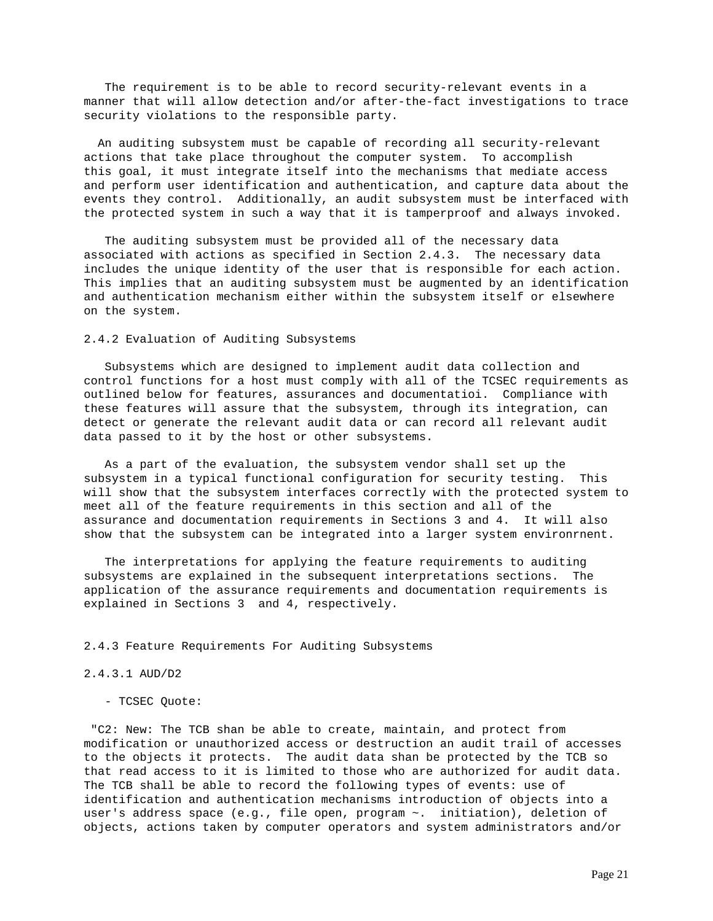The requirement is to be able to record security-relevant events in a manner that will allow detection and/or after-the-fact investigations to trace security violations to the responsible party.

 An auditing subsystem must be capable of recording all security-relevant actions that take place throughout the computer system. To accomplish this goal, it must integrate itself into the mechanisms that mediate access and perform user identification and authentication, and capture data about the events they control. Additionally, an audit subsystem must be interfaced with the protected system in such a way that it is tamperproof and always invoked.

 The auditing subsystem must be provided all of the necessary data associated with actions as specified in Section 2.4.3. The necessary data includes the unique identity of the user that is responsible for each action. This implies that an auditing subsystem must be augmented by an identification and authentication mechanism either within the subsystem itself or elsewhere on the system.

## 2.4.2 Evaluation of Auditing Subsystems

 Subsystems which are designed to implement audit data collection and control functions for a host must comply with all of the TCSEC requirements as outlined below for features, assurances and documentatioi. Compliance with these features will assure that the subsystem, through its integration, can detect or generate the relevant audit data or can record all relevant audit data passed to it by the host or other subsystems.

 As a part of the evaluation, the subsystem vendor shall set up the subsystem in a typical functional configuration for security testing. This will show that the subsystem interfaces correctly with the protected system to meet all of the feature requirements in this section and all of the assurance and documentation requirements in Sections 3 and 4. It will also show that the subsystem can be integrated into a larger system environrnent.

 The interpretations for applying the feature requirements to auditing subsystems are explained in the subsequent interpretations sections. The application of the assurance requirements and documentation requirements is explained in Sections 3 and 4, respectively.

## 2.4.3 Feature Requirements For Auditing Subsystems

## 2.4.3.1 AUD/D2

#### - TCSEC Quote:

 "C2: New: The TCB shan be able to create, maintain, and protect from modification or unauthorized access or destruction an audit trail of accesses to the objects it protects. The audit data shan be protected by the TCB so that read access to it is limited to those who are authorized for audit data. The TCB shall be able to record the following types of events: use of identification and authentication mechanisms introduction of objects into a user's address space (e.g., file open, program ~. initiation), deletion of objects, actions taken by computer operators and system administrators and/or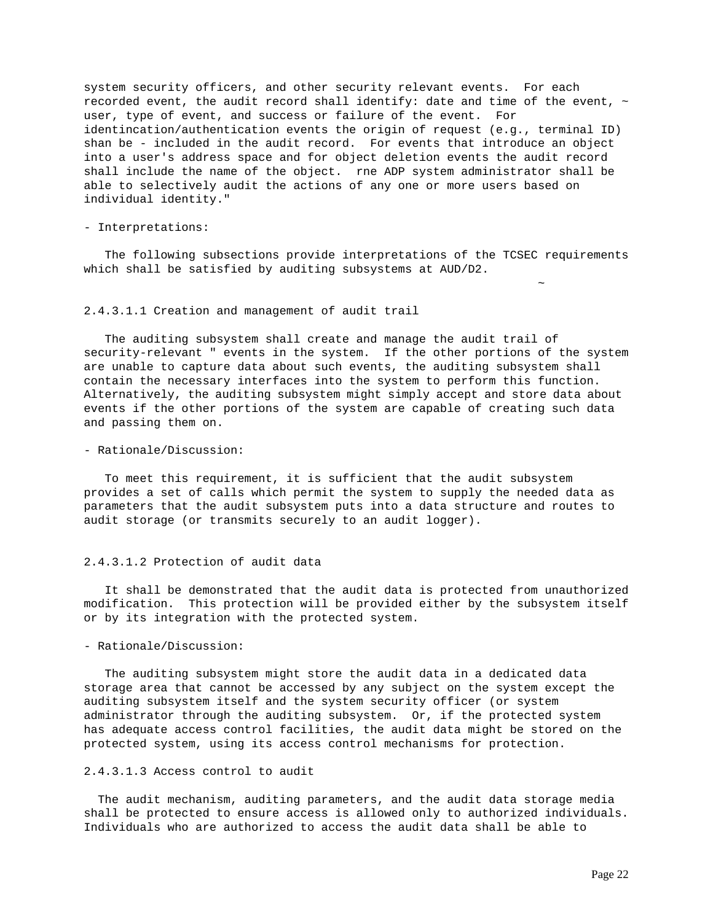system security officers, and other security relevant events. For each recorded event, the audit record shall identify: date and time of the event,  $\sim$ user, type of event, and success or failure of the event. For identincation/authentication events the origin of request (e.g., terminal ID) shan be - included in the audit record. For events that introduce an object into a user's address space and for object deletion events the audit record shall include the name of the object. rne ADP system administrator shall be able to selectively audit the actions of any one or more users based on individual identity."

#### - Interpretations:

 The following subsections provide interpretations of the TCSEC requirements which shall be satisfied by auditing subsystems at AUD/D2.

~

#### 2.4.3.1.1 Creation and management of audit trail

 The auditing subsystem shall create and manage the audit trail of security-relevant " events in the system. If the other portions of the system are unable to capture data about such events, the auditing subsystem shall contain the necessary interfaces into the system to perform this function. Alternatively, the auditing subsystem might simply accept and store data about events if the other portions of the system are capable of creating such data and passing them on.

#### - Rationale/Discussion:

 To meet this requirement, it is sufficient that the audit subsystem provides a set of calls which permit the system to supply the needed data as parameters that the audit subsystem puts into a data structure and routes to audit storage (or transmits securely to an audit logger).

## 2.4.3.1.2 Protection of audit data

 It shall be demonstrated that the audit data is protected from unauthorized modification. This protection will be provided either by the subsystem itself or by its integration with the protected system.

## - Rationale/Discussion:

 The auditing subsystem might store the audit data in a dedicated data storage area that cannot be accessed by any subject on the system except the auditing subsystem itself and the system security officer (or system administrator through the auditing subsystem. Or, if the protected system has adequate access control facilities, the audit data might be stored on the protected system, using its access control mechanisms for protection.

## 2.4.3.1.3 Access control to audit

 The audit mechanism, auditing parameters, and the audit data storage media shall be protected to ensure access is allowed only to authorized individuals. Individuals who are authorized to access the audit data shall be able to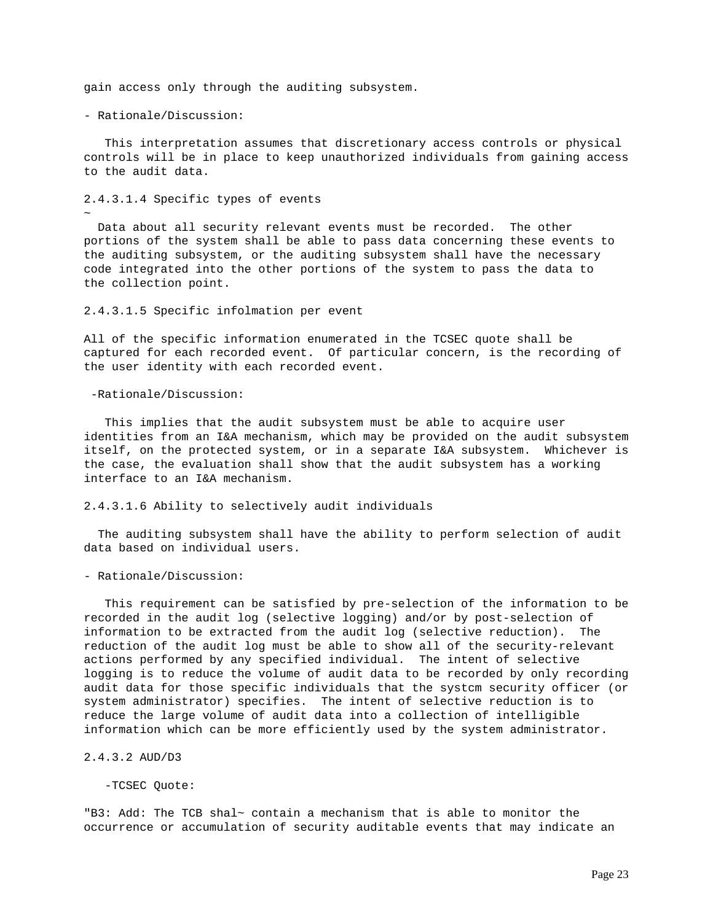gain access only through the auditing subsystem.

- Rationale/Discussion:

~

 This interpretation assumes that discretionary access controls or physical controls will be in place to keep unauthorized individuals from gaining access to the audit data.

2.4.3.1.4 Specific types of events

 Data about all security relevant events must be recorded. The other portions of the system shall be able to pass data concerning these events to the auditing subsystem, or the auditing subsystem shall have the necessary code integrated into the other portions of the system to pass the data to the collection point.

#### 2.4.3.1.5 Specific infolmation per event

All of the specific information enumerated in the TCSEC quote shall be captured for each recorded event. Of particular concern, is the recording of the user identity with each recorded event.

-Rationale/Discussion:

 This implies that the audit subsystem must be able to acquire user identities from an I&A mechanism, which may be provided on the audit subsystem itself, on the protected system, or in a separate I&A subsystem. Whichever is the case, the evaluation shall show that the audit subsystem has a working interface to an I&A mechanism.

## 2.4.3.1.6 Ability to selectively audit individuals

 The auditing subsystem shall have the ability to perform selection of audit data based on individual users.

- Rationale/Discussion:

 This requirement can be satisfied by pre-selection of the information to be recorded in the audit log (selective logging) and/or by post-selection of information to be extracted from the audit log (selective reduction). The reduction of the audit log must be able to show all of the security-relevant actions performed by any specified individual. The intent of selective logging is to reduce the volume of audit data to be recorded by only recording audit data for those specific individuals that the systcm security officer (or system administrator) specifies. The intent of selective reduction is to reduce the large volume of audit data into a collection of intelligible information which can be more efficiently used by the system administrator.

2.4.3.2 AUD/D3

-TCSEC Quote:

"B3: Add: The TCB shal~ contain a mechanism that is able to monitor the occurrence or accumulation of security auditable events that may indicate an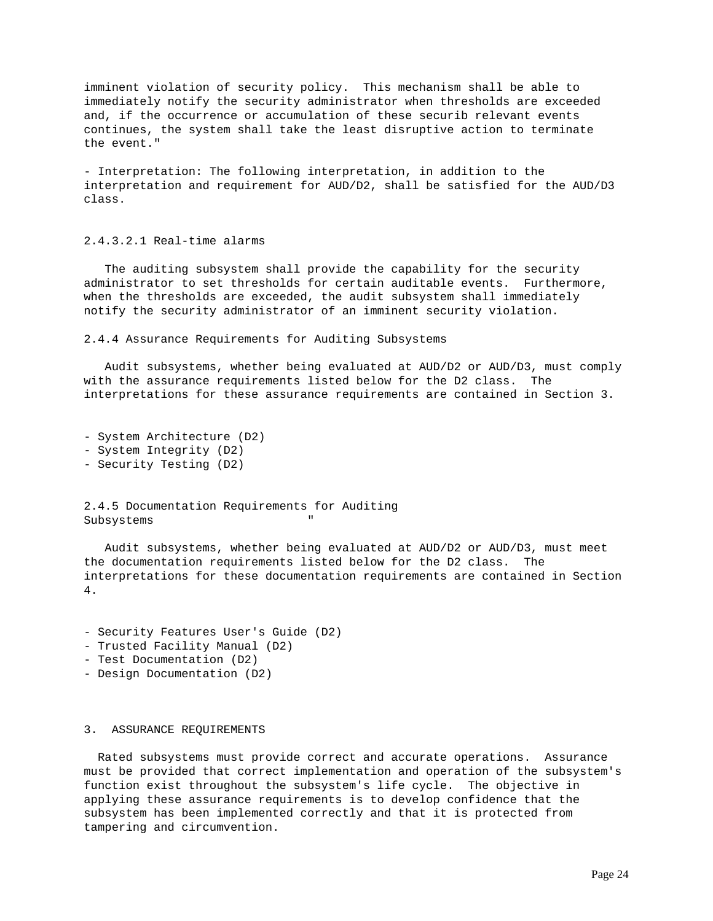imminent violation of security policy. This mechanism shall be able to immediately notify the security administrator when thresholds are exceeded and, if the occurrence or accumulation of these securib relevant events continues, the system shall take the least disruptive action to terminate the event."

- Interpretation: The following interpretation, in addition to the interpretation and requirement for AUD/D2, shall be satisfied for the AUD/D3 class.

## 2.4.3.2.1 Real-time alarms

 The auditing subsystem shall provide the capability for the security administrator to set thresholds for certain auditable events. Furthermore, when the thresholds are exceeded, the audit subsystem shall immediately notify the security administrator of an imminent security violation.

2.4.4 Assurance Requirements for Auditing Subsystems

 Audit subsystems, whether being evaluated at AUD/D2 or AUD/D3, must comply with the assurance requirements listed below for the D2 class. The interpretations for these assurance requirements are contained in Section 3.

```
- System Architecture (D2)
- System Integrity (D2)
- Security Testing (D2)
```
2.4.5 Documentation Requirements for Auditing Subsystems

 Audit subsystems, whether being evaluated at AUD/D2 or AUD/D3, must meet the documentation requirements listed below for the D2 class. The interpretations for these documentation requirements are contained in Section 4.

- Security Features User's Guide (D2)
- Trusted Facility Manual (D2)
- Test Documentation (D2)
- Design Documentation (D2)

## 3. ASSURANCE REQUIREMENTS

 Rated subsystems must provide correct and accurate operations. Assurance must be provided that correct implementation and operation of the subsystem's function exist throughout the subsystem's life cycle. The objective in applying these assurance requirements is to develop confidence that the subsystem has been implemented correctly and that it is protected from tampering and circumvention.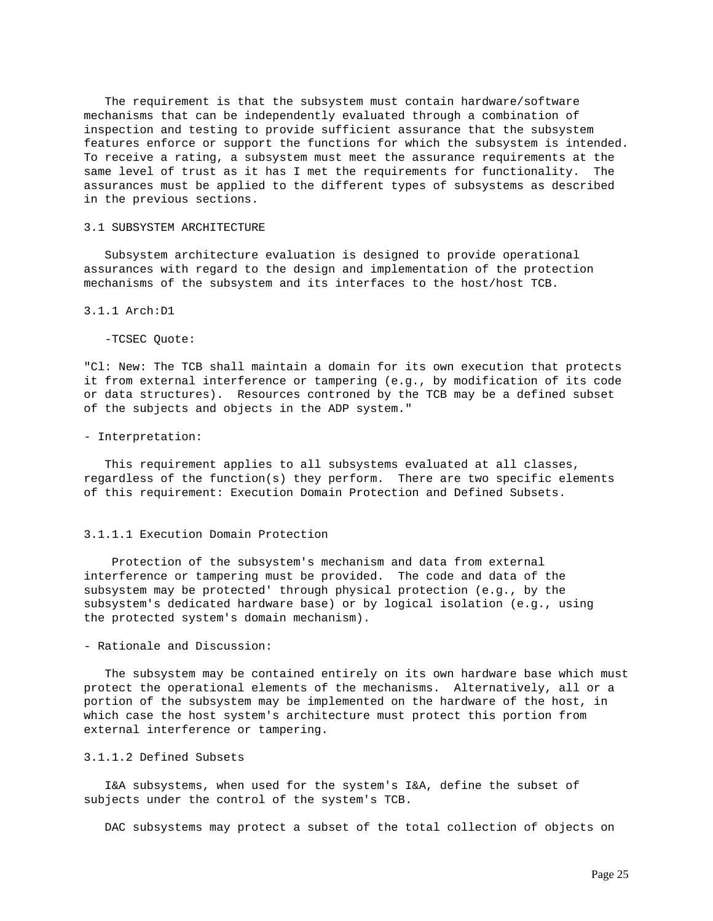The requirement is that the subsystem must contain hardware/software mechanisms that can be independently evaluated through a combination of inspection and testing to provide sufficient assurance that the subsystem features enforce or support the functions for which the subsystem is intended. To receive a rating, a subsystem must meet the assurance requirements at the same level of trust as it has I met the requirements for functionality. The assurances must be applied to the different types of subsystems as described in the previous sections.

#### 3.1 SUBSYSTEM ARCHITECTURE

 Subsystem architecture evaluation is designed to provide operational assurances with regard to the design and implementation of the protection mechanisms of the subsystem and its interfaces to the host/host TCB.

## 3.1.1 Arch:D1

-TCSEC Quote:

"Cl: New: The TCB shall maintain a domain for its own execution that protects it from external interference or tampering (e.g., by modification of its code or data structures). Resources controned by the TCB may be a defined subset of the subjects and objects in the ADP system."

# - Interpretation:

 This requirement applies to all subsystems evaluated at all classes, regardless of the function(s) they perform. There are two specific elements of this requirement: Execution Domain Protection and Defined Subsets.

#### 3.1.1.1 Execution Domain Protection

 Protection of the subsystem's mechanism and data from external interference or tampering must be provided. The code and data of the subsystem may be protected' through physical protection (e.g., by the subsystem's dedicated hardware base) or by logical isolation (e.g., using the protected system's domain mechanism).

## - Rationale and Discussion:

 The subsystem may be contained entirely on its own hardware base which must protect the operational elements of the mechanisms. Alternatively, all or a portion of the subsystem may be implemented on the hardware of the host, in which case the host system's architecture must protect this portion from external interference or tampering.

### 3.1.1.2 Defined Subsets

 I&A subsystems, when used for the system's I&A, define the subset of subjects under the control of the system's TCB.

DAC subsystems may protect a subset of the total collection of objects on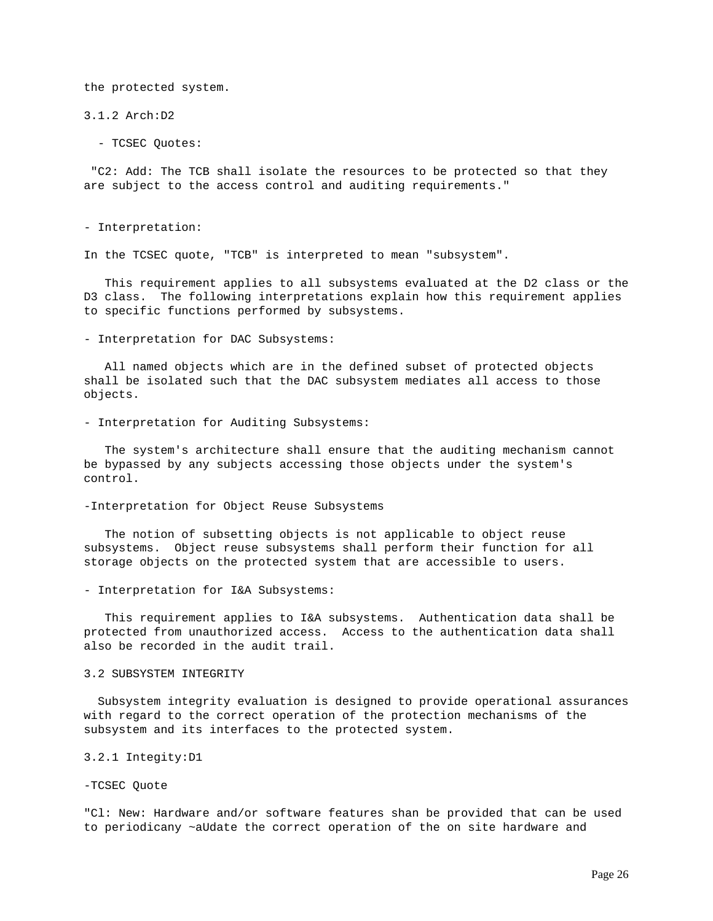the protected system.

3.1.2 Arch:D2

- TCSEC Quotes:

 "C2: Add: The TCB shall isolate the resources to be protected so that they are subject to the access control and auditing requirements."

#### - Interpretation:

In the TCSEC quote, "TCB" is interpreted to mean "subsystem".

 This requirement applies to all subsystems evaluated at the D2 class or the D3 class. The following interpretations explain how this requirement applies to specific functions performed by subsystems.

- Interpretation for DAC Subsystems:

 All named objects which are in the defined subset of protected objects shall be isolated such that the DAC subsystem mediates all access to those objects.

- Interpretation for Auditing Subsystems:

 The system's architecture shall ensure that the auditing mechanism cannot be bypassed by any subjects accessing those objects under the system's control.

## -Interpretation for Object Reuse Subsystems

 The notion of subsetting objects is not applicable to object reuse subsystems. Object reuse subsystems shall perform their function for all storage objects on the protected system that are accessible to users.

- Interpretation for I&A Subsystems:

 This requirement applies to I&A subsystems. Authentication data shall be protected from unauthorized access. Access to the authentication data shall also be recorded in the audit trail.

## 3.2 SUBSYSTEM INTEGRITY

 Subsystem integrity evaluation is designed to provide operational assurances with regard to the correct operation of the protection mechanisms of the subsystem and its interfaces to the protected system.

## 3.2.1 Integity:D1

## -TCSEC Quote

"Cl: New: Hardware and/or software features shan be provided that can be used to periodicany ~aUdate the correct operation of the on site hardware and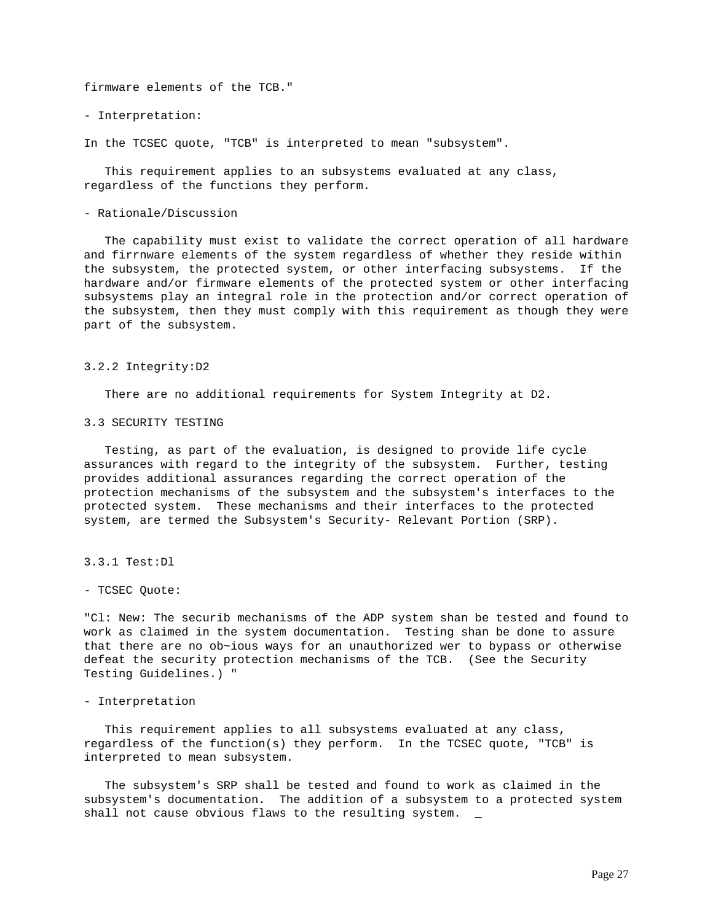firmware elements of the TCB."

- Interpretation:

In the TCSEC quote, "TCB" is interpreted to mean "subsystem".

 This requirement applies to an subsystems evaluated at any class, regardless of the functions they perform.

## - Rationale/Discussion

 The capability must exist to validate the correct operation of all hardware and firrnware elements of the system regardless of whether they reside within the subsystem, the protected system, or other interfacing subsystems. If the hardware and/or firmware elements of the protected system or other interfacing subsystems play an integral role in the protection and/or correct operation of the subsystem, then they must comply with this requirement as though they were part of the subsystem.

#### 3.2.2 Integrity:D2

There are no additional requirements for System Integrity at D2.

## 3.3 SECURITY TESTING

 Testing, as part of the evaluation, is designed to provide life cycle assurances with regard to the integrity of the subsystem. Further, testing provides additional assurances regarding the correct operation of the protection mechanisms of the subsystem and the subsystem's interfaces to the protected system. These mechanisms and their interfaces to the protected system, are termed the Subsystem's Security- Relevant Portion (SRP).

3.3.1 Test:Dl

## - TCSEC Quote:

"Cl: New: The securib mechanisms of the ADP system shan be tested and found to work as claimed in the system documentation. Testing shan be done to assure that there are no ob~ious ways for an unauthorized wer to bypass or otherwise defeat the security protection mechanisms of the TCB. (See the Security Testing Guidelines.) "

#### - Interpretation

 This requirement applies to all subsystems evaluated at any class, regardless of the function(s) they perform. In the TCSEC quote, "TCB" is interpreted to mean subsystem.

 The subsystem's SRP shall be tested and found to work as claimed in the subsystem's documentation. The addition of a subsystem to a protected system shall not cause obvious flaws to the resulting system. \_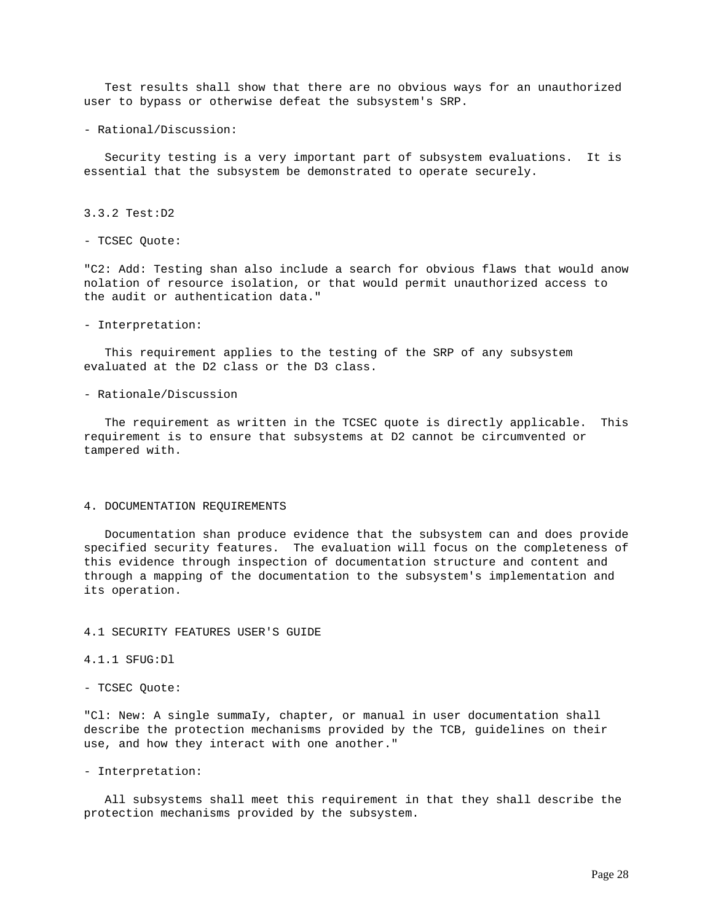Test results shall show that there are no obvious ways for an unauthorized user to bypass or otherwise defeat the subsystem's SRP.

- Rational/Discussion:

 Security testing is a very important part of subsystem evaluations. It is essential that the subsystem be demonstrated to operate securely.

## 3.3.2 Test:D2

- TCSEC Quote:

"C2: Add: Testing shan also include a search for obvious flaws that would anow nolation of resource isolation, or that would permit unauthorized access to the audit or authentication data."

### - Interpretation:

 This requirement applies to the testing of the SRP of any subsystem evaluated at the D2 class or the D3 class.

## - Rationale/Discussion

 The requirement as written in the TCSEC quote is directly applicable. This requirement is to ensure that subsystems at D2 cannot be circumvented or tampered with.

## 4. DOCUMENTATION REQUIREMENTS

 Documentation shan produce evidence that the subsystem can and does provide specified security features. The evaluation will focus on the completeness of this evidence through inspection of documentation structure and content and through a mapping of the documentation to the subsystem's implementation and its operation.

## 4.1 SECURITY FEATURES USER'S GUIDE

4.1.1 SFUG:Dl

- TCSEC Quote:

"Cl: New: A single summaIy, chapter, or manual in user documentation shall describe the protection mechanisms provided by the TCB, guidelines on their use, and how they interact with one another."

### - Interpretation:

 All subsystems shall meet this requirement in that they shall describe the protection mechanisms provided by the subsystem.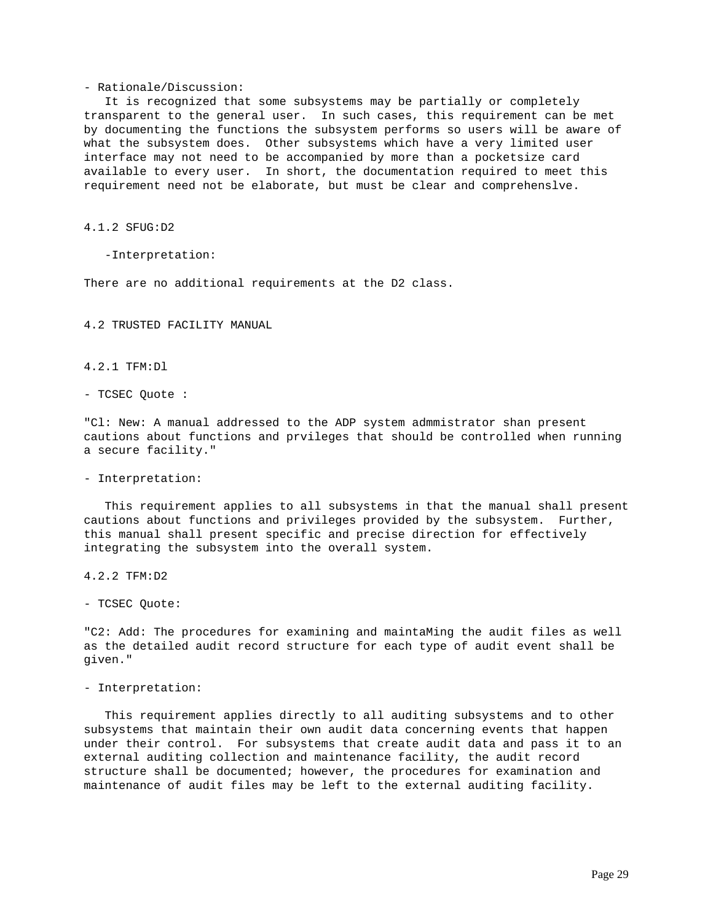#### - Rationale/Discussion:

 It is recognized that some subsystems may be partially or completely transparent to the general user. In such cases, this requirement can be met by documenting the functions the subsystem performs so users will be aware of what the subsystem does. Other subsystems which have a very limited user interface may not need to be accompanied by more than a pocketsize card available to every user. In short, the documentation required to meet this requirement need not be elaborate, but must be clear and comprehenslve.

4.1.2 SFUG:D2

-Interpretation:

There are no additional requirements at the D2 class.

4.2 TRUSTED FACILITY MANUAL

4.2.1 TFM:Dl

- TCSEC Quote :

"Cl: New: A manual addressed to the ADP system admmistrator shan present cautions about functions and prvileges that should be controlled when running a secure facility."

## - Interpretation:

 This requirement applies to all subsystems in that the manual shall present cautions about functions and privileges provided by the subsystem. Further, this manual shall present specific and precise direction for effectively integrating the subsystem into the overall system.

4.2.2 TFM:D2

- TCSEC Quote:

"C2: Add: The procedures for examining and maintaMing the audit files as well as the detailed audit record structure for each type of audit event shall be given."

#### - Interpretation:

 This requirement applies directly to all auditing subsystems and to other subsystems that maintain their own audit data concerning events that happen under their control. For subsystems that create audit data and pass it to an external auditing collection and maintenance facility, the audit record structure shall be documented; however, the procedures for examination and maintenance of audit files may be left to the external auditing facility.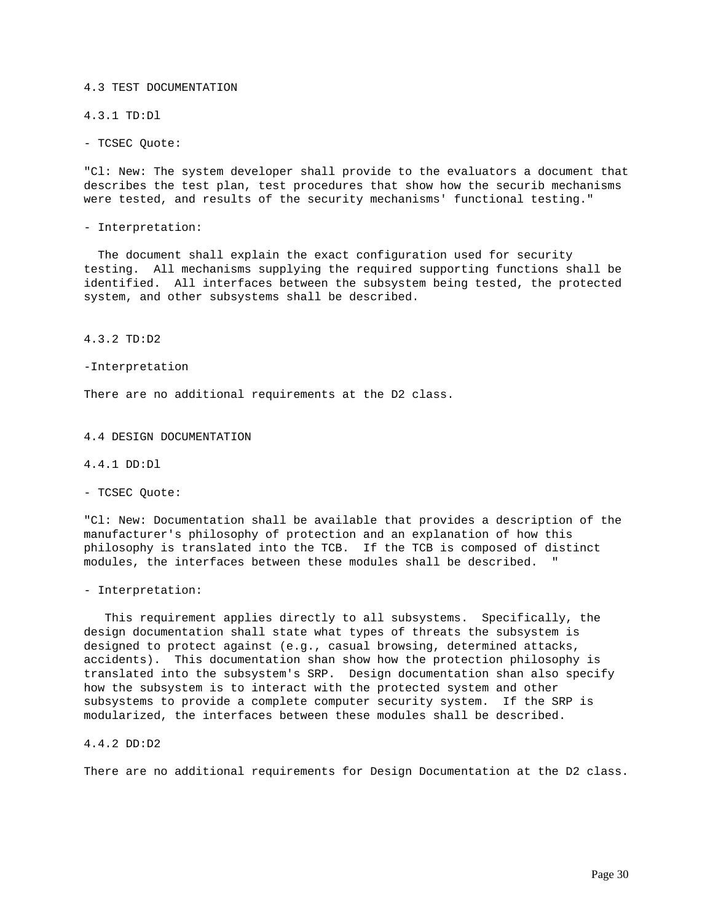4.3 TEST DOCUMENTATION

4.3.1 TD:Dl

- TCSEC Quote:

"Cl: New: The system developer shall provide to the evaluators a document that describes the test plan, test procedures that show how the securib mechanisms were tested, and results of the security mechanisms' functional testing."

- Interpretation:

 The document shall explain the exact configuration used for security testing. All mechanisms supplying the required supporting functions shall be identified. All interfaces between the subsystem being tested, the protected system, and other subsystems shall be described.

4.3.2 TD:D2

-Interpretation

There are no additional requirements at the D2 class.

4.4 DESIGN DOCUMENTATION

4.4.1 DD:Dl

- TCSEC Quote:

"Cl: New: Documentation shall be available that provides a description of the manufacturer's philosophy of protection and an explanation of how this philosophy is translated into the TCB. If the TCB is composed of distinct modules, the interfaces between these modules shall be described.

- Interpretation:

 This requirement applies directly to all subsystems. Specifically, the design documentation shall state what types of threats the subsystem is designed to protect against (e.g., casual browsing, determined attacks, accidents). This documentation shan show how the protection philosophy is translated into the subsystem's SRP. Design documentation shan also specify how the subsystem is to interact with the protected system and other subsystems to provide a complete computer security system. If the SRP is modularized, the interfaces between these modules shall be described.

4.4.2 DD:D2

There are no additional requirements for Design Documentation at the D2 class.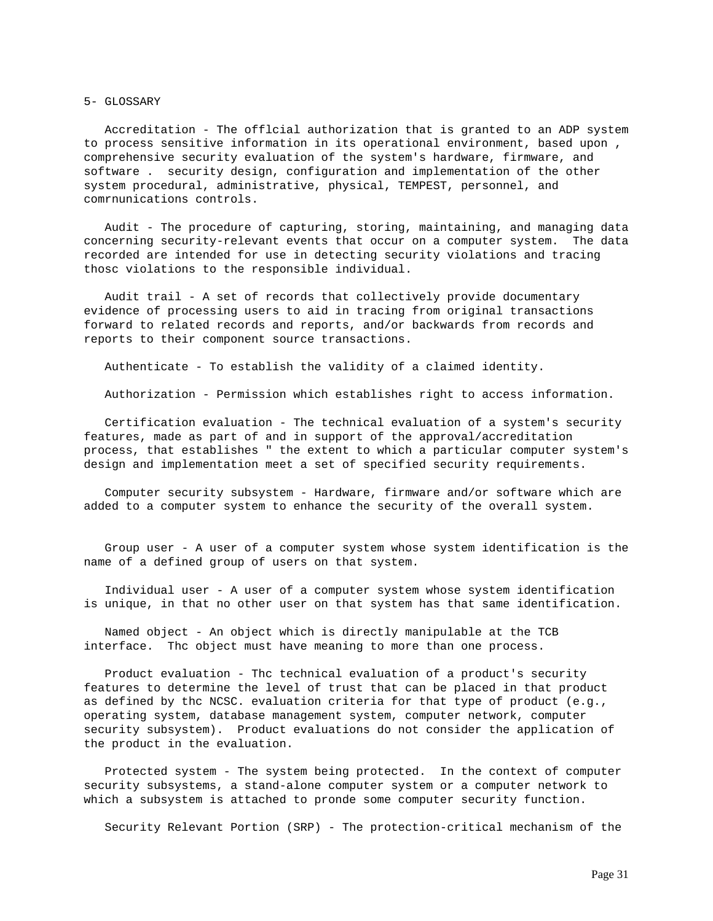#### 5- GLOSSARY

 Accreditation - The offlcial authorization that is granted to an ADP system to process sensitive information in its operational environment, based upon , comprehensive security evaluation of the system's hardware, firmware, and software . security design, configuration and implementation of the other system procedural, administrative, physical, TEMPEST, personnel, and comrnunications controls.

 Audit - The procedure of capturing, storing, maintaining, and managing data concerning security-relevant events that occur on a computer system. The data recorded are intended for use in detecting security violations and tracing thosc violations to the responsible individual.

 Audit trail - A set of records that collectively provide documentary evidence of processing users to aid in tracing from original transactions forward to related records and reports, and/or backwards from records and reports to their component source transactions.

Authenticate - To establish the validity of a claimed identity.

Authorization - Permission which establishes right to access information.

 Certification evaluation - The technical evaluation of a system's security features, made as part of and in support of the approval/accreditation process, that establishes " the extent to which a particular computer system's design and implementation meet a set of specified security requirements.

 Computer security subsystem - Hardware, firmware and/or software which are added to a computer system to enhance the security of the overall system.

 Group user - A user of a computer system whose system identification is the name of a defined group of users on that system.

 Individual user - A user of a computer system whose system identification is unique, in that no other user on that system has that same identification.

 Named object - An object which is directly manipulable at the TCB interface. Thc object must have meaning to more than one process.

 Product evaluation - Thc technical evaluation of a product's security features to determine the level of trust that can be placed in that product as defined by thc NCSC. evaluation criteria for that type of product (e.g., operating system, database management system, computer network, computer security subsystem). Product evaluations do not consider the application of the product in the evaluation.

 Protected system - The system being protected. In the context of computer security subsystems, a stand-alone computer system or a computer network to which a subsystem is attached to pronde some computer security function.

Security Relevant Portion (SRP) - The protection-critical mechanism of the